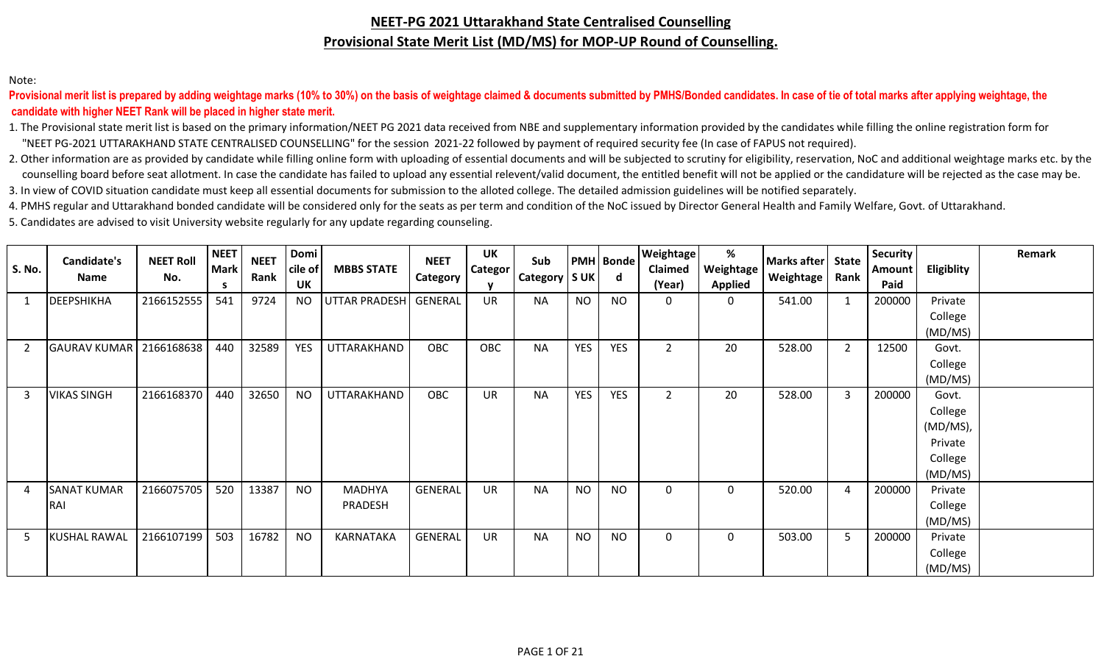#### **NEET-PG 2021 Uttarakhand State Centralised Counselling Provisional State Merit List (MD/MS) for MOP-UP Round of Counselling.**

#### Note:

 **candidate with higher NEET Rank will be placed in higher state merit.** Provisional merit list is prepared by adding weightage marks (10% to 30%) on the basis of weightage claimed & documents submitted by PMHS/Bonded candidates. In case of tie of total marks after applying weightage, the

1. The Provisional state merit list is based on the primary information/NEET PG 2021 data received from NBE and supplementary information provided by the candidates while filling the online registration form for "NEET PG-2021 UTTARAKHAND STATE CENTRALISED COUNSELLING" for the session 2021-22 followed by payment of required security fee (In case of FAPUS not required).

2. Other information are as provided by candidate while filling online form with uploading of essential documents and will be subjected to scrutiny for eligibility, reservation, NoC and additional weightage marks etc. by t counselling board before seat allotment. In case the candidate has failed to upload any essential relevent/valid document, the entitled benefit will not be applied or the candidature will be rejected as the case may be. 3. In view of COVID situation candidate must keep all essential documents for submission to the alloted college. The detailed admission guidelines will be notified separately.

4. PMHS regular and Uttarakhand bonded candidate will be considered only for the seats as per term and condition of the NoC issued by Director General Health and Family Welfare, Govt. of Uttarakhand.

5. Candidates are advised to visit University website regularly for any update regarding counseling.

|               | Candidate's         | <b>NEET Roll</b> | <b>NEET</b>       | <b>NEET</b> | Domi                 |                      | <b>NEET</b>    | <b>UK</b>      | Sub             |            | <b>PMH</b> Bonde | Weightage         | %                           | <b>Marks after</b> | <b>State</b>   | <b>Security</b> |                   | Remark |
|---------------|---------------------|------------------|-------------------|-------------|----------------------|----------------------|----------------|----------------|-----------------|------------|------------------|-------------------|-----------------------------|--------------------|----------------|-----------------|-------------------|--------|
| <b>S. No.</b> | Name                | No.              | <b>Mark</b><br>-S | Rank        | cile of<br><b>UK</b> | <b>MBBS STATE</b>    | Category       | <b>Categor</b> | Category   S UK |            | d                | Claimed<br>(Year) | Weightage<br><b>Applied</b> | Weightage          | Rank           | Amount<br>Paid  | <b>Eligiblity</b> |        |
|               | <b>DEEPSHIKHA</b>   | 2166152555       | 541               | 9724        | <b>NO</b>            | <b>UTTAR PRADESH</b> | <b>GENERAL</b> | UR             | <b>NA</b>       | <b>NO</b>  | <b>NO</b>        | $\mathbf{0}$      | 0                           | 541.00             |                | 200000          | Private           |        |
|               |                     |                  |                   |             |                      |                      |                |                |                 |            |                  |                   |                             |                    |                |                 | College           |        |
|               |                     |                  |                   |             |                      |                      |                |                |                 |            |                  |                   |                             |                    |                |                 | (MD/MS)           |        |
|               | <b>GAURAV KUMAR</b> | 2166168638       | 440               | 32589       | <b>YES</b>           | UTTARAKHAND          | OBC            | OBC            | <b>NA</b>       | <b>YES</b> | <b>YES</b>       | $\overline{2}$    | 20                          | 528.00             | $\overline{2}$ | 12500           | Govt.             |        |
|               |                     |                  |                   |             |                      |                      |                |                |                 |            |                  |                   |                             |                    |                |                 | College           |        |
|               |                     |                  |                   |             |                      |                      |                |                |                 |            |                  |                   |                             |                    |                |                 | (MD/MS)           |        |
| -3            | <b>VIKAS SINGH</b>  | 2166168370       | 440               | 32650       | <b>NO</b>            | UTTARAKHAND          | OBC            | UR             | <b>NA</b>       | <b>YES</b> | <b>YES</b>       | $\overline{2}$    | 20                          | 528.00             | 3              | 200000          | Govt.             |        |
|               |                     |                  |                   |             |                      |                      |                |                |                 |            |                  |                   |                             |                    |                |                 | College           |        |
|               |                     |                  |                   |             |                      |                      |                |                |                 |            |                  |                   |                             |                    |                |                 | (MD/MS),          |        |
|               |                     |                  |                   |             |                      |                      |                |                |                 |            |                  |                   |                             |                    |                |                 | Private           |        |
|               |                     |                  |                   |             |                      |                      |                |                |                 |            |                  |                   |                             |                    |                |                 | College           |        |
|               |                     |                  |                   |             |                      |                      |                |                |                 |            |                  |                   |                             |                    |                |                 | (MD/MS)           |        |
| 4             | <b>SANAT KUMAR</b>  | 2166075705       | 520               | 13387       | <b>NO</b>            | <b>MADHYA</b>        | <b>GENERAL</b> | <b>UR</b>      | <b>NA</b>       | <b>NO</b>  | <b>NO</b>        | $\mathbf{0}$      | $\Omega$                    | 520.00             | 4              | 200000          | Private           |        |
|               | RAI                 |                  |                   |             |                      | PRADESH              |                |                |                 |            |                  |                   |                             |                    |                |                 | College           |        |
|               |                     |                  |                   |             |                      |                      |                |                |                 |            |                  |                   |                             |                    |                |                 | (MD/MS)           |        |
| -5            | <b>KUSHAL RAWAL</b> | 2166107199       | 503               | 16782       | <b>NO</b>            | KARNATAKA            | <b>GENERAL</b> | <b>UR</b>      | <b>NA</b>       | <b>NO</b>  | <b>NO</b>        | $\mathbf{0}$      | 0                           | 503.00             | 5              | 200000          | Private           |        |
|               |                     |                  |                   |             |                      |                      |                |                |                 |            |                  |                   |                             |                    |                |                 | College           |        |
|               |                     |                  |                   |             |                      |                      |                |                |                 |            |                  |                   |                             |                    |                |                 | (MD/MS)           |        |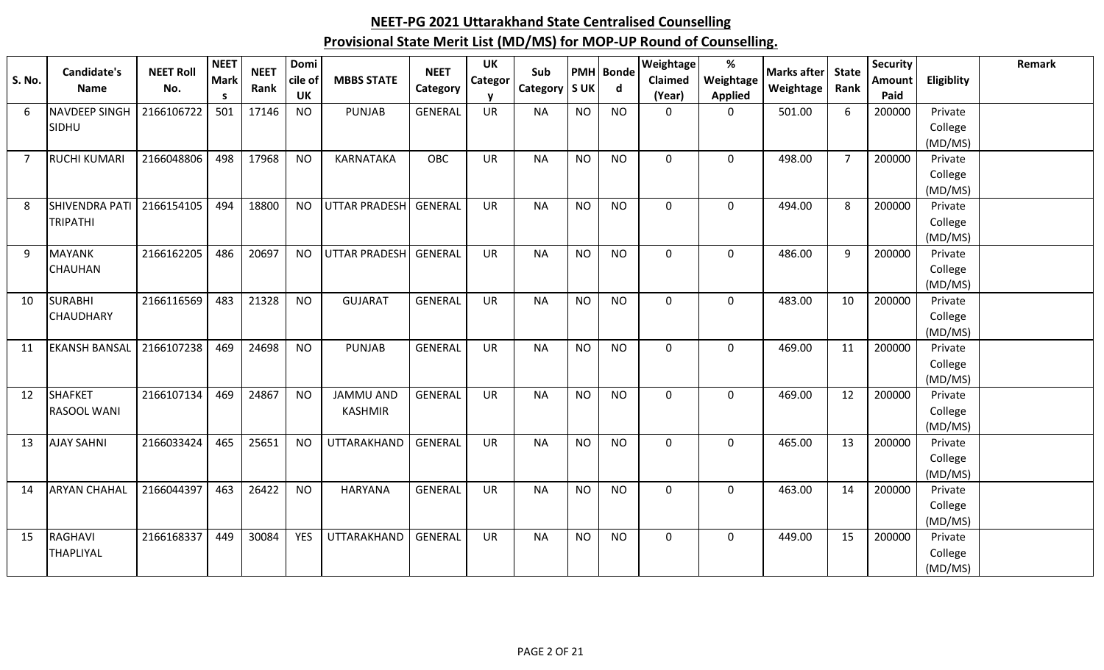| <b>S. No.</b> | <b>Candidate's</b><br><b>Name</b> | <b>NEET Roll</b><br>No. | <b>NEET</b><br><b>Mark</b><br>$\mathsf{s}$ | <b>NEET</b><br>Rank | Domi<br>cile of<br>UK | <b>MBBS STATE</b>     | <b>NEET</b><br>Category | UK<br><b>Categor</b> | Sub<br>Category   S UK | <b>PMH</b> | <b>Bonde</b><br>d | Weightage<br><b>Claimed</b><br>(Year) | %<br>Weightage<br><b>Applied</b> | <b>Marks after</b><br>Weightage | <b>State</b><br>Rank | <b>Security</b><br>Amount<br>Paid | <b>Eligiblity</b>  | Remark |
|---------------|-----------------------------------|-------------------------|--------------------------------------------|---------------------|-----------------------|-----------------------|-------------------------|----------------------|------------------------|------------|-------------------|---------------------------------------|----------------------------------|---------------------------------|----------------------|-----------------------------------|--------------------|--------|
| 6             | <b>NAVDEEP SINGH</b>              | 2166106722              | 501                                        | 17146               | <b>NO</b>             | <b>PUNJAB</b>         | <b>GENERAL</b>          | UR                   | <b>NA</b>              | <b>NO</b>  | <b>NO</b>         | $\mathbf 0$                           | $\mathbf 0$                      | 501.00                          | 6                    | 200000                            | Private            |        |
|               | SIDHU                             |                         |                                            |                     |                       |                       |                         |                      |                        |            |                   |                                       |                                  |                                 |                      |                                   | College            |        |
|               |                                   |                         |                                            |                     |                       |                       |                         |                      |                        |            |                   |                                       |                                  |                                 |                      |                                   | (MD/MS)            |        |
| 7             | <b>RUCHI KUMARI</b>               | 2166048806              | 498                                        | 17968               | <b>NO</b>             | KARNATAKA             | <b>OBC</b>              | <b>UR</b>            | <b>NA</b>              | <b>NO</b>  | <b>NO</b>         | $\mathbf 0$                           | $\mathbf 0$                      | 498.00                          | $\overline{7}$       | 200000                            | Private            |        |
|               |                                   |                         |                                            |                     |                       |                       |                         |                      |                        |            |                   |                                       |                                  |                                 |                      |                                   | College            |        |
|               |                                   |                         |                                            |                     |                       |                       |                         |                      |                        |            |                   |                                       |                                  |                                 |                      |                                   | (MD/MS)            |        |
| 8             | SHIVENDRA PATI                    | 2166154105              | 494                                        | 18800               | <b>NO</b>             | UTTAR PRADESH GENERAL |                         | <b>UR</b>            | <b>NA</b>              | <b>NO</b>  | <b>NO</b>         | $\mathbf 0$                           | $\mathbf 0$                      | 494.00                          | 8                    | 200000                            | Private            |        |
|               | <b>TRIPATHI</b>                   |                         |                                            |                     |                       |                       |                         |                      |                        |            |                   |                                       |                                  |                                 |                      |                                   | College            |        |
|               |                                   |                         |                                            |                     |                       |                       |                         |                      |                        |            |                   |                                       |                                  |                                 |                      |                                   | (MD/MS)            |        |
| 9             | <b>MAYANK</b>                     | 2166162205              | 486                                        | 20697               | <b>NO</b>             | <b>UTTAR PRADESH</b>  | GENERAL                 | <b>UR</b>            | <b>NA</b>              | <b>NO</b>  | <b>NO</b>         | $\mathbf 0$                           | $\mathbf 0$                      | 486.00                          | 9                    | 200000                            | Private            |        |
|               | <b>CHAUHAN</b>                    |                         |                                            |                     |                       |                       |                         |                      |                        |            |                   |                                       |                                  |                                 |                      |                                   | College            |        |
| 10            | <b>SURABHI</b>                    | 2166116569              | 483                                        | 21328               | <b>NO</b>             | <b>GUJARAT</b>        | <b>GENERAL</b>          | <b>UR</b>            | <b>NA</b>              | <b>NO</b>  | <b>NO</b>         | $\mathbf 0$                           | $\mathbf 0$                      | 483.00                          | 10                   | 200000                            | (MD/MS)<br>Private |        |
|               | <b>CHAUDHARY</b>                  |                         |                                            |                     |                       |                       |                         |                      |                        |            |                   |                                       |                                  |                                 |                      |                                   | College            |        |
|               |                                   |                         |                                            |                     |                       |                       |                         |                      |                        |            |                   |                                       |                                  |                                 |                      |                                   | (MD/MS)            |        |
| 11            | <b>EKANSH BANSAL</b>              | 2166107238              | 469                                        | 24698               | <b>NO</b>             | <b>PUNJAB</b>         | <b>GENERAL</b>          | <b>UR</b>            | <b>NA</b>              | <b>NO</b>  | <b>NO</b>         | $\mathbf 0$                           | $\mathbf 0$                      | 469.00                          | 11                   | 200000                            | Private            |        |
|               |                                   |                         |                                            |                     |                       |                       |                         |                      |                        |            |                   |                                       |                                  |                                 |                      |                                   | College            |        |
|               |                                   |                         |                                            |                     |                       |                       |                         |                      |                        |            |                   |                                       |                                  |                                 |                      |                                   | (MD/MS)            |        |
| 12            | <b>SHAFKET</b>                    | 2166107134              | 469                                        | 24867               | <b>NO</b>             | <b>JAMMU AND</b>      | <b>GENERAL</b>          | <b>UR</b>            | <b>NA</b>              | <b>NO</b>  | <b>NO</b>         | $\mathbf 0$                           | $\mathbf 0$                      | 469.00                          | 12                   | 200000                            | Private            |        |
|               | <b>RASOOL WANI</b>                |                         |                                            |                     |                       | <b>KASHMIR</b>        |                         |                      |                        |            |                   |                                       |                                  |                                 |                      |                                   | College            |        |
|               |                                   |                         |                                            |                     |                       |                       |                         |                      |                        |            |                   |                                       |                                  |                                 |                      |                                   | (MD/MS)            |        |
| 13            | <b>AJAY SAHNI</b>                 | 2166033424              | 465                                        | 25651               | <b>NO</b>             | UTTARAKHAND           | GENERAL                 | <b>UR</b>            | <b>NA</b>              | <b>NO</b>  | <b>NO</b>         | $\mathbf 0$                           | $\mathbf 0$                      | 465.00                          | 13                   | 200000                            | Private            |        |
|               |                                   |                         |                                            |                     |                       |                       |                         |                      |                        |            |                   |                                       |                                  |                                 |                      |                                   | College            |        |
|               |                                   |                         |                                            |                     |                       |                       |                         |                      |                        |            |                   |                                       |                                  |                                 |                      |                                   | (MD/MS)            |        |
| 14            | <b>ARYAN CHAHAL</b>               | 2166044397              | 463                                        | 26422               | <b>NO</b>             | <b>HARYANA</b>        | <b>GENERAL</b>          | <b>UR</b>            | <b>NA</b>              | <b>NO</b>  | <b>NO</b>         | $\mathbf 0$                           | $\mathbf 0$                      | 463.00                          | 14                   | 200000                            | Private            |        |
|               |                                   |                         |                                            |                     |                       |                       |                         |                      |                        |            |                   |                                       |                                  |                                 |                      |                                   | College            |        |
|               |                                   |                         |                                            |                     |                       |                       |                         |                      |                        |            |                   |                                       |                                  |                                 |                      |                                   | (MD/MS)            |        |
| 15            | RAGHAVI                           | 2166168337              | 449                                        | 30084               | <b>YES</b>            | UTTARAKHAND           | GENERAL                 | <b>UR</b>            | <b>NA</b>              | <b>NO</b>  | <b>NO</b>         | $\mathbf 0$                           | $\mathbf 0$                      | 449.00                          | 15                   | 200000                            | Private            |        |
|               | <b>THAPLIYAL</b>                  |                         |                                            |                     |                       |                       |                         |                      |                        |            |                   |                                       |                                  |                                 |                      |                                   | College            |        |
|               |                                   |                         |                                            |                     |                       |                       |                         |                      |                        |            |                   |                                       |                                  |                                 |                      |                                   | (MD/MS)            |        |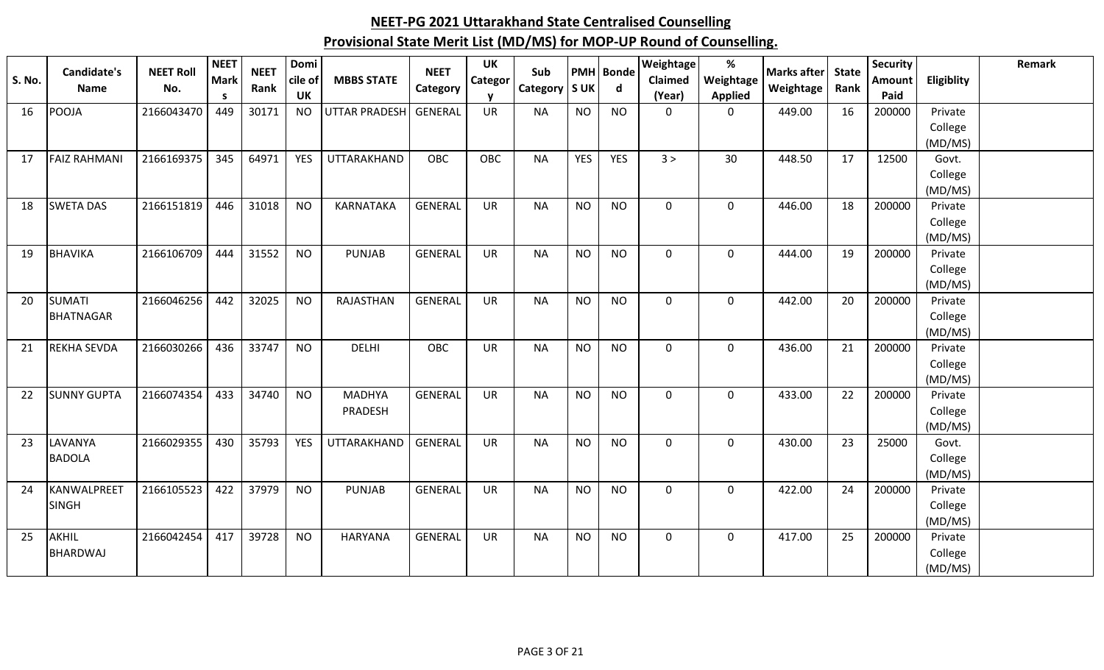| <b>S. No.</b> | Candidate's<br>Name | <b>NEET Roll</b><br>No. | <b>NEET</b><br><b>Mark</b><br>S. | <b>NEET</b><br>Rank | Domi<br>cile of<br>UK | <b>MBBS STATE</b>    | <b>NEET</b><br>Category | <b>UK</b><br>Categor | Sub<br>Category   S UK |            | <b>PMH</b> Bonde<br>d | <b>Weightage</b><br>Claimed<br>(Year) | $\%$<br>Weightage<br><b>Applied</b> | <b>Marks after</b><br>Weightage | <b>State</b><br>Rank | <b>Security</b><br><b>Amount</b><br>Paid | Eligiblity         | Remark |
|---------------|---------------------|-------------------------|----------------------------------|---------------------|-----------------------|----------------------|-------------------------|----------------------|------------------------|------------|-----------------------|---------------------------------------|-------------------------------------|---------------------------------|----------------------|------------------------------------------|--------------------|--------|
| 16            | <b>POOJA</b>        | 2166043470              | 449                              | 30171               | <b>NO</b>             | <b>UTTAR PRADESH</b> | GENERAL                 | <b>UR</b>            | <b>NA</b>              | <b>NO</b>  | <b>NO</b>             | $\mathbf 0$                           | $\mathbf 0$                         | 449.00                          | 16                   | 200000                                   | Private            |        |
|               |                     |                         |                                  |                     |                       |                      |                         |                      |                        |            |                       |                                       |                                     |                                 |                      |                                          | College            |        |
|               |                     |                         |                                  |                     |                       |                      |                         |                      |                        |            |                       |                                       |                                     |                                 |                      |                                          | (MD/MS)            |        |
| 17            | <b>FAIZ RAHMANI</b> | 2166169375              | 345                              | 64971               | <b>YES</b>            | <b>UTTARAKHAND</b>   | <b>OBC</b>              | OBC                  | <b>NA</b>              | <b>YES</b> | <b>YES</b>            | 3 >                                   | 30                                  | 448.50                          | 17                   | 12500                                    | Govt.              |        |
|               |                     |                         |                                  |                     |                       |                      |                         |                      |                        |            |                       |                                       |                                     |                                 |                      |                                          | College            |        |
|               |                     |                         |                                  |                     |                       |                      |                         |                      |                        |            |                       |                                       |                                     |                                 |                      |                                          | (MD/MS)            |        |
| 18            | <b>SWETA DAS</b>    | 2166151819              | 446                              | 31018               | <b>NO</b>             | <b>KARNATAKA</b>     | <b>GENERAL</b>          | <b>UR</b>            | <b>NA</b>              | <b>NO</b>  | <b>NO</b>             | $\mathbf 0$                           | 0                                   | 446.00                          | 18                   | 200000                                   | Private            |        |
|               |                     |                         |                                  |                     |                       |                      |                         |                      |                        |            |                       |                                       |                                     |                                 |                      |                                          | College            |        |
|               |                     |                         |                                  |                     |                       |                      |                         |                      |                        |            |                       |                                       |                                     |                                 |                      |                                          | (MD/MS)            |        |
| 19            | <b>BHAVIKA</b>      | 2166106709              | 444                              | 31552               | <b>NO</b>             | <b>PUNJAB</b>        | <b>GENERAL</b>          | <b>UR</b>            | <b>NA</b>              | <b>NO</b>  | <b>NO</b>             | $\mathbf 0$                           | $\mathbf 0$                         | 444.00                          | 19                   | 200000                                   | Private            |        |
|               |                     |                         |                                  |                     |                       |                      |                         |                      |                        |            |                       |                                       |                                     |                                 |                      |                                          | College            |        |
| 20            | <b>SUMATI</b>       | 2166046256              | 442                              | 32025               | <b>NO</b>             | RAJASTHAN            | <b>GENERAL</b>          | <b>UR</b>            | <b>NA</b>              | <b>NO</b>  | <b>NO</b>             | $\mathbf 0$                           | $\mathbf 0$                         | 442.00                          | 20                   | 200000                                   | (MD/MS)<br>Private |        |
|               | <b>BHATNAGAR</b>    |                         |                                  |                     |                       |                      |                         |                      |                        |            |                       |                                       |                                     |                                 |                      |                                          | College            |        |
|               |                     |                         |                                  |                     |                       |                      |                         |                      |                        |            |                       |                                       |                                     |                                 |                      |                                          | (MD/MS)            |        |
| 21            | <b>REKHA SEVDA</b>  | 2166030266              | 436                              | 33747               | <b>NO</b>             | <b>DELHI</b>         | OBC                     | <b>UR</b>            | <b>NA</b>              | <b>NO</b>  | <b>NO</b>             | $\mathbf 0$                           | $\mathbf 0$                         | 436.00                          | 21                   | 200000                                   | Private            |        |
|               |                     |                         |                                  |                     |                       |                      |                         |                      |                        |            |                       |                                       |                                     |                                 |                      |                                          | College            |        |
|               |                     |                         |                                  |                     |                       |                      |                         |                      |                        |            |                       |                                       |                                     |                                 |                      |                                          | (MD/MS)            |        |
| 22            | <b>SUNNY GUPTA</b>  | 2166074354              | 433                              | 34740               | <b>NO</b>             | <b>MADHYA</b>        | <b>GENERAL</b>          | <b>UR</b>            | <b>NA</b>              | <b>NO</b>  | <b>NO</b>             | $\mathbf 0$                           | $\mathbf 0$                         | 433.00                          | 22                   | 200000                                   | Private            |        |
|               |                     |                         |                                  |                     |                       | PRADESH              |                         |                      |                        |            |                       |                                       |                                     |                                 |                      |                                          | College            |        |
|               |                     |                         |                                  |                     |                       |                      |                         |                      |                        |            |                       |                                       |                                     |                                 |                      |                                          | (MD/MS)            |        |
| 23            | LAVANYA             | 2166029355              | 430                              | 35793               | <b>YES</b>            | UTTARAKHAND          | GENERAL                 | <b>UR</b>            | <b>NA</b>              | <b>NO</b>  | <b>NO</b>             | $\mathbf 0$                           | $\mathbf 0$                         | 430.00                          | 23                   | 25000                                    | Govt.              |        |
|               | <b>BADOLA</b>       |                         |                                  |                     |                       |                      |                         |                      |                        |            |                       |                                       |                                     |                                 |                      |                                          | College            |        |
|               |                     |                         |                                  |                     |                       |                      |                         |                      |                        |            |                       |                                       |                                     |                                 |                      |                                          | (MD/MS)            |        |
| 24            | KANWALPREET         | 2166105523              | 422                              | 37979               | <b>NO</b>             | <b>PUNJAB</b>        | <b>GENERAL</b>          | <b>UR</b>            | <b>NA</b>              | <b>NO</b>  | <b>NO</b>             | $\mathbf 0$                           | $\mathbf 0$                         | 422.00                          | 24                   | 200000                                   | Private            |        |
|               | <b>SINGH</b>        |                         |                                  |                     |                       |                      |                         |                      |                        |            |                       |                                       |                                     |                                 |                      |                                          | College            |        |
|               |                     |                         |                                  |                     |                       |                      |                         |                      |                        |            |                       |                                       |                                     |                                 |                      |                                          | (MD/MS)            |        |
| 25            | AKHIL               | 2166042454              | 417                              | 39728               | <b>NO</b>             | <b>HARYANA</b>       | <b>GENERAL</b>          | <b>UR</b>            | <b>NA</b>              | <b>NO</b>  | <b>NO</b>             | $\mathbf{0}$                          | $\mathbf 0$                         | 417.00                          | 25                   | 200000                                   | Private            |        |
|               | <b>BHARDWAJ</b>     |                         |                                  |                     |                       |                      |                         |                      |                        |            |                       |                                       |                                     |                                 |                      |                                          | College            |        |
|               |                     |                         |                                  |                     |                       |                      |                         |                      |                        |            |                       |                                       |                                     |                                 |                      |                                          | (MD/MS)            |        |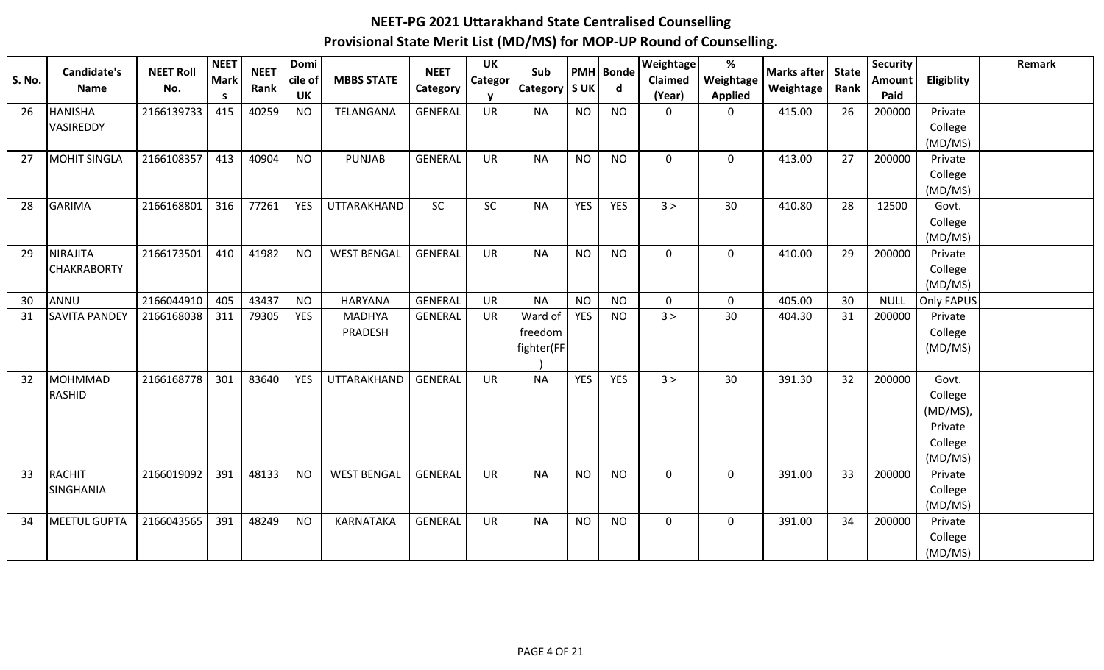| <b>S. No.</b> | Candidate's          | <b>NEET Roll</b> | <b>NEET</b><br><b>Mark</b> | <b>NEET</b> | Domi<br>cile of | <b>MBBS STATE</b>  | <b>NEET</b>    | <b>UK</b><br>Categor | Sub           |            | <b>PMH</b> Bonde | Weightage<br><b>Claimed</b> | %<br>Weightage | Marks after | <b>State</b> | <b>Security</b><br>Amount | Eligiblity        | Remark |
|---------------|----------------------|------------------|----------------------------|-------------|-----------------|--------------------|----------------|----------------------|---------------|------------|------------------|-----------------------------|----------------|-------------|--------------|---------------------------|-------------------|--------|
|               | <b>Name</b>          | No.              | S.                         | Rank        | <b>UK</b>       |                    | Category       | <b>v</b>             | Category S UK |            | d                | (Year)                      | <b>Applied</b> | Weightage   | Rank         | Paid                      |                   |        |
| 26            | <b>HANISHA</b>       | 2166139733       | 415                        | 40259       | <b>NO</b>       | TELANGANA          | <b>GENERAL</b> | <b>UR</b>            | <b>NA</b>     | <b>NO</b>  | <b>NO</b>        | $\mathbf 0$                 | $\mathbf 0$    | 415.00      | 26           | 200000                    | Private           |        |
|               | <b>VASIREDDY</b>     |                  |                            |             |                 |                    |                |                      |               |            |                  |                             |                |             |              |                           | College           |        |
|               |                      |                  |                            |             |                 |                    |                |                      |               |            |                  |                             |                |             |              |                           | (MD/MS)           |        |
| 27            | <b>MOHIT SINGLA</b>  | 2166108357       | 413                        | 40904       | <b>NO</b>       | <b>PUNJAB</b>      | <b>GENERAL</b> | <b>UR</b>            | <b>NA</b>     | <b>NO</b>  | <b>NO</b>        | $\mathbf 0$                 | $\mathbf 0$    | 413.00      | 27           | 200000                    | Private           |        |
|               |                      |                  |                            |             |                 |                    |                |                      |               |            |                  |                             |                |             |              |                           | College           |        |
| 28            | <b>GARIMA</b>        | 2166168801       | 316                        | 77261       | <b>YES</b>      | UTTARAKHAND        | <b>SC</b>      | SC                   | <b>NA</b>     | <b>YES</b> | <b>YES</b>       | 3 >                         | 30             | 410.80      | 28           | 12500                     | (MD/MS)<br>Govt.  |        |
|               |                      |                  |                            |             |                 |                    |                |                      |               |            |                  |                             |                |             |              |                           | College           |        |
|               |                      |                  |                            |             |                 |                    |                |                      |               |            |                  |                             |                |             |              |                           | (MD/MS)           |        |
| 29            | <b>NIRAJITA</b>      | 2166173501       | 410                        | 41982       | <b>NO</b>       | <b>WEST BENGAL</b> | <b>GENERAL</b> | <b>UR</b>            | <b>NA</b>     | <b>NO</b>  | <b>NO</b>        | $\mathbf 0$                 | $\mathbf 0$    | 410.00      | 29           | 200000                    | Private           |        |
|               | <b>CHAKRABORTY</b>   |                  |                            |             |                 |                    |                |                      |               |            |                  |                             |                |             |              |                           | College           |        |
|               |                      |                  |                            |             |                 |                    |                |                      |               |            |                  |                             |                |             |              |                           | (MD/MS)           |        |
| 30            | ANNU                 | 2166044910       | 405                        | 43437       | <b>NO</b>       | <b>HARYANA</b>     | <b>GENERAL</b> | <b>UR</b>            | <b>NA</b>     | <b>NO</b>  | <b>NO</b>        | $\mathbf 0$                 | 0              | 405.00      | 30           | <b>NULL</b>               | <b>Only FAPUS</b> |        |
| 31            | <b>SAVITA PANDEY</b> | 2166168038       | 311                        | 79305       | <b>YES</b>      | <b>MADHYA</b>      | <b>GENERAL</b> | <b>UR</b>            | Ward of       | <b>YES</b> | <b>NO</b>        | 3 >                         | 30             | 404.30      | 31           | 200000                    | Private           |        |
|               |                      |                  |                            |             |                 | PRADESH            |                |                      | freedom       |            |                  |                             |                |             |              |                           | College           |        |
|               |                      |                  |                            |             |                 |                    |                |                      | fighter(FF)   |            |                  |                             |                |             |              |                           | (MD/MS)           |        |
| 32            | <b>MOHMMAD</b>       | 2166168778       | 301                        | 83640       | <b>YES</b>      | UTTARAKHAND        | <b>GENERAL</b> | <b>UR</b>            | <b>NA</b>     | <b>YES</b> | <b>YES</b>       | 3 >                         | 30             | 391.30      | 32           | 200000                    | Govt.             |        |
|               | RASHID               |                  |                            |             |                 |                    |                |                      |               |            |                  |                             |                |             |              |                           | College           |        |
|               |                      |                  |                            |             |                 |                    |                |                      |               |            |                  |                             |                |             |              |                           | (MD/MS),          |        |
|               |                      |                  |                            |             |                 |                    |                |                      |               |            |                  |                             |                |             |              |                           | Private           |        |
|               |                      |                  |                            |             |                 |                    |                |                      |               |            |                  |                             |                |             |              |                           | College           |        |
|               |                      |                  |                            |             |                 |                    |                |                      |               |            |                  |                             |                |             |              |                           | (MD/MS)           |        |
| 33            | RACHIT               | 2166019092       | 391                        | 48133       | <b>NO</b>       | <b>WEST BENGAL</b> | <b>GENERAL</b> | <b>UR</b>            | <b>NA</b>     | <b>NO</b>  | <b>NO</b>        | $\mathbf 0$                 | $\mathbf 0$    | 391.00      | 33           | 200000                    | Private           |        |
|               | <b>SINGHANIA</b>     |                  |                            |             |                 |                    |                |                      |               |            |                  |                             |                |             |              |                           | College           |        |
|               |                      |                  |                            |             |                 |                    |                |                      |               |            |                  |                             |                |             |              |                           | (MD/MS)           |        |
| 34            | MEETUL GUPTA         | 2166043565       | 391                        | 48249       | <b>NO</b>       | KARNATAKA          | <b>GENERAL</b> | <b>UR</b>            | <b>NA</b>     | <b>NO</b>  | <b>NO</b>        | $\mathbf 0$                 | $\mathbf 0$    | 391.00      | 34           | 200000                    | Private           |        |
|               |                      |                  |                            |             |                 |                    |                |                      |               |            |                  |                             |                |             |              |                           | College           |        |
|               |                      |                  |                            |             |                 |                    |                |                      |               |            |                  |                             |                |             |              |                           | (MD/MS)           |        |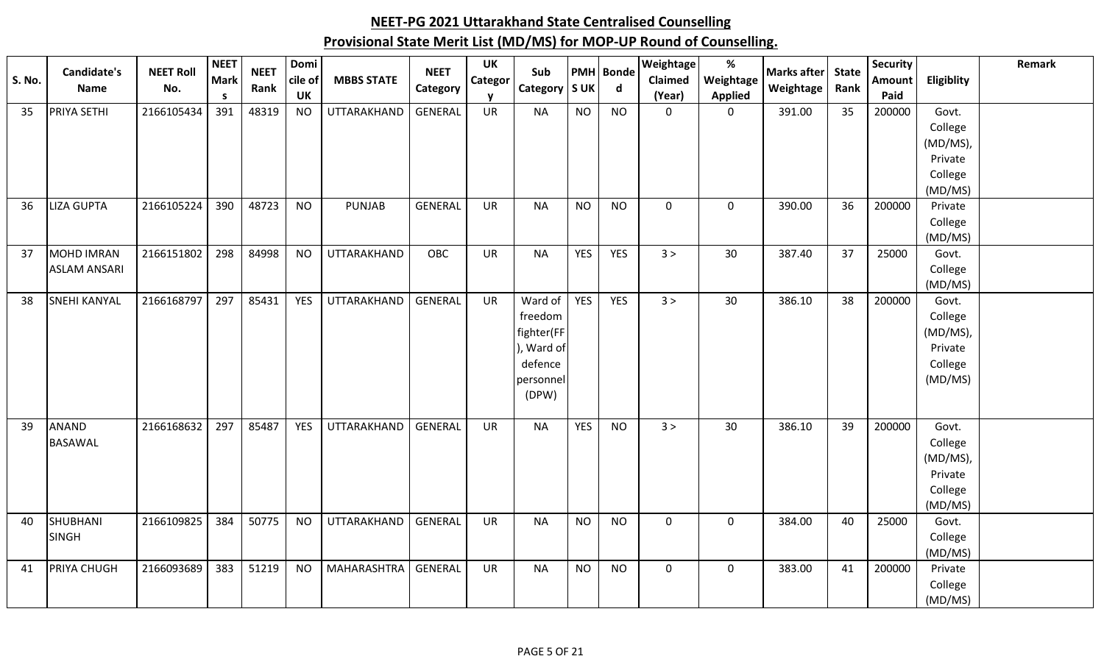|               | Candidate's         |                  | <b>NEET</b> | <b>NEET</b> | Domi       |                    | <b>NEET</b>    | <b>UK</b> |                 |            |                  | Weightage      | %              |                   |      | <b>Security</b> |                    | Remark |
|---------------|---------------------|------------------|-------------|-------------|------------|--------------------|----------------|-----------|-----------------|------------|------------------|----------------|----------------|-------------------|------|-----------------|--------------------|--------|
| <b>S. No.</b> |                     | <b>NEET Roll</b> | Mark        |             | cile of    | <b>MBBS STATE</b>  |                | Categor   | Sub             |            | <b>PMH</b> Bonde | <b>Claimed</b> | Weightage      | Marks after State |      | Amount          | Eligiblity         |        |
|               | Name                | No.              | S.          | Rank        | <b>UK</b>  |                    | Category       | v         | Category   S UK |            | $\mathsf{d}$     | (Year)         | <b>Applied</b> | Weightage         | Rank | Paid            |                    |        |
| 35            | <b>PRIYA SETHI</b>  | 2166105434       | 391         | 48319       | <b>NO</b>  | UTTARAKHAND        | <b>GENERAL</b> | <b>UR</b> | <b>NA</b>       | <b>NO</b>  | <b>NO</b>        | $\mathbf 0$    | $\mathbf 0$    | 391.00            | 35   | 200000          | Govt.              |        |
|               |                     |                  |             |             |            |                    |                |           |                 |            |                  |                |                |                   |      |                 | College            |        |
|               |                     |                  |             |             |            |                    |                |           |                 |            |                  |                |                |                   |      |                 | (MD/MS),           |        |
|               |                     |                  |             |             |            |                    |                |           |                 |            |                  |                |                |                   |      |                 | Private            |        |
|               |                     |                  |             |             |            |                    |                |           |                 |            |                  |                |                |                   |      |                 | College            |        |
|               |                     |                  |             |             |            |                    |                |           |                 |            |                  |                |                |                   |      |                 | (MD/MS)            |        |
| 36            | <b>LIZA GUPTA</b>   | 2166105224       | 390         | 48723       | <b>NO</b>  | <b>PUNJAB</b>      | <b>GENERAL</b> | <b>UR</b> | <b>NA</b>       | <b>NO</b>  | <b>NO</b>        | $\mathbf 0$    | $\mathsf 0$    | 390.00            | 36   | 200000          | Private            |        |
|               |                     |                  |             |             |            |                    |                |           |                 |            |                  |                |                |                   |      |                 | College            |        |
|               |                     |                  |             |             |            |                    |                |           |                 |            |                  |                |                |                   |      |                 | (MD/MS)            |        |
| 37            | <b>MOHD IMRAN</b>   | 2166151802       | 298         | 84998       | <b>NO</b>  | UTTARAKHAND        | OBC            | <b>UR</b> | <b>NA</b>       | <b>YES</b> | <b>YES</b>       | 3 >            | 30             | 387.40            | 37   | 25000           | Govt.              |        |
|               | <b>ASLAM ANSARI</b> |                  |             |             |            |                    |                |           |                 |            |                  |                |                |                   |      |                 | College            |        |
|               |                     |                  |             |             |            |                    |                |           |                 |            |                  |                |                |                   |      |                 | (MD/MS)            |        |
| 38            | <b>SNEHI KANYAL</b> | 2166168797       | 297         | 85431       | <b>YES</b> | UTTARAKHAND        | <b>GENERAL</b> | <b>UR</b> | Ward of         | <b>YES</b> | <b>YES</b>       | 3 >            | 30             | 386.10            | 38   | 200000          | Govt.              |        |
|               |                     |                  |             |             |            |                    |                |           | freedom         |            |                  |                |                |                   |      |                 | College            |        |
|               |                     |                  |             |             |            |                    |                |           | fighter(FF      |            |                  |                |                |                   |      |                 | (MD/MS),           |        |
|               |                     |                  |             |             |            |                    |                |           | ), Ward of      |            |                  |                |                |                   |      |                 | Private            |        |
|               |                     |                  |             |             |            |                    |                |           | defence         |            |                  |                |                |                   |      |                 | College            |        |
|               |                     |                  |             |             |            |                    |                |           | personnel       |            |                  |                |                |                   |      |                 | (MD/MS)            |        |
|               |                     |                  |             |             |            |                    |                |           | (DPW)           |            |                  |                |                |                   |      |                 |                    |        |
|               |                     |                  |             |             |            |                    |                |           |                 |            |                  |                |                |                   |      |                 |                    |        |
| 39            | <b>ANAND</b>        | 2166168632       | 297         | 85487       | <b>YES</b> | UTTARAKHAND        | <b>GENERAL</b> | <b>UR</b> | <b>NA</b>       | <b>YES</b> | <b>NO</b>        | 3 >            | 30             | 386.10            | 39   | 200000          | Govt.              |        |
|               | <b>BASAWAL</b>      |                  |             |             |            |                    |                |           |                 |            |                  |                |                |                   |      |                 | College            |        |
|               |                     |                  |             |             |            |                    |                |           |                 |            |                  |                |                |                   |      |                 | (MD/MS),           |        |
|               |                     |                  |             |             |            |                    |                |           |                 |            |                  |                |                |                   |      |                 | Private            |        |
|               |                     |                  |             |             |            |                    |                |           |                 |            |                  |                |                |                   |      |                 | College            |        |
|               |                     |                  |             |             |            |                    |                |           |                 |            |                  |                |                |                   |      |                 | (MD/MS)            |        |
| 40            | SHUBHANI            | 2166109825       | 384         | 50775       | <b>NO</b>  | UTTARAKHAND        | <b>GENERAL</b> | <b>UR</b> | <b>NA</b>       | <b>NO</b>  | <b>NO</b>        | $\mathbf 0$    | $\mathsf 0$    | 384.00            | 40   | 25000           | Govt.              |        |
|               | <b>SINGH</b>        |                  |             |             |            |                    |                |           |                 |            |                  |                |                |                   |      |                 | College            |        |
|               | PRIYA CHUGH         | 2166093689       | 383         | 51219       | <b>NO</b>  | <b>MAHARASHTRA</b> | <b>GENERAL</b> | <b>UR</b> | <b>NA</b>       | <b>NO</b>  | <b>NO</b>        | $\mathbf 0$    | $\mathbf 0$    | 383.00            | 41   | 200000          | (MD/MS)<br>Private |        |
| 41            |                     |                  |             |             |            |                    |                |           |                 |            |                  |                |                |                   |      |                 |                    |        |
|               |                     |                  |             |             |            |                    |                |           |                 |            |                  |                |                |                   |      |                 | College            |        |
|               |                     |                  |             |             |            |                    |                |           |                 |            |                  |                |                |                   |      |                 | (MD/MS)            |        |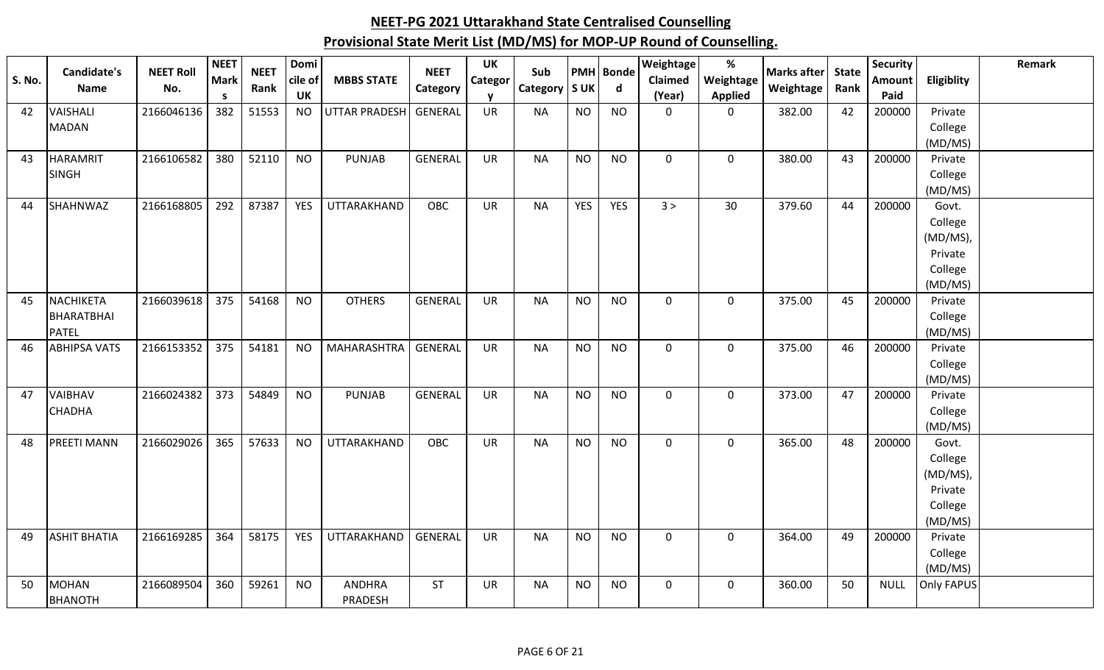| <b>S. No.</b> | Candidate's<br><b>Name</b> | <b>NEET Roll</b><br>No. | <b>NEET</b><br>Mark<br>S | <b>NEET</b><br>Rank | Domi<br>cile of<br>UK | <b>MBBS STATE</b>    | <b>NEET</b><br>Category | <b>UK</b><br>Categor | Sub<br>Category   S UK |            | <b>PMH</b> Bonde<br>d | <b>Weightage</b><br>Claimed<br>(Year) | $\%$<br>Weightage<br><b>Applied</b> | <b>Marks after</b><br>Weightage | <b>State</b><br>Rank | Security<br><b>Amount</b><br>Paid | Eligiblity         | Remark |
|---------------|----------------------------|-------------------------|--------------------------|---------------------|-----------------------|----------------------|-------------------------|----------------------|------------------------|------------|-----------------------|---------------------------------------|-------------------------------------|---------------------------------|----------------------|-----------------------------------|--------------------|--------|
| 42            | VAISHALI                   | 2166046136              | 382                      | 51553               | <b>NO</b>             | <b>UTTAR PRADESH</b> | <b>GENERAL</b>          | <b>UR</b>            | <b>NA</b>              | <b>NO</b>  | <b>NO</b>             | $\mathbf 0$                           | $\mathbf 0$                         | 382.00                          | 42                   | 200000                            | Private            |        |
|               | <b>MADAN</b>               |                         |                          |                     |                       |                      |                         |                      |                        |            |                       |                                       |                                     |                                 |                      |                                   | College            |        |
|               |                            |                         |                          |                     |                       |                      |                         |                      |                        |            |                       |                                       |                                     |                                 |                      |                                   | (MD/MS)            |        |
| 43            | <b>HARAMRIT</b>            | 2166106582              | 380                      | 52110               | <b>NO</b>             | <b>PUNJAB</b>        | <b>GENERAL</b>          | <b>UR</b>            | <b>NA</b>              | <b>NO</b>  | <b>NO</b>             | $\mathbf 0$                           | $\mathbf 0$                         | 380.00                          | 43                   | 200000                            | Private            |        |
|               | <b>SINGH</b>               |                         |                          |                     |                       |                      |                         |                      |                        |            |                       |                                       |                                     |                                 |                      |                                   | College            |        |
|               |                            |                         |                          |                     |                       |                      |                         |                      |                        |            |                       |                                       |                                     |                                 |                      |                                   | (MD/MS)            |        |
| 44            | SHAHNWAZ                   | 2166168805              | 292                      | 87387               | <b>YES</b>            | UTTARAKHAND          | OBC                     | UR                   | <b>NA</b>              | <b>YES</b> | <b>YES</b>            | 3 >                                   | 30                                  | 379.60                          | 44                   | 200000                            | Govt.              |        |
|               |                            |                         |                          |                     |                       |                      |                         |                      |                        |            |                       |                                       |                                     |                                 |                      |                                   | College            |        |
|               |                            |                         |                          |                     |                       |                      |                         |                      |                        |            |                       |                                       |                                     |                                 |                      |                                   | (MD/MS),           |        |
|               |                            |                         |                          |                     |                       |                      |                         |                      |                        |            |                       |                                       |                                     |                                 |                      |                                   | Private            |        |
|               |                            |                         |                          |                     |                       |                      |                         |                      |                        |            |                       |                                       |                                     |                                 |                      |                                   | College            |        |
|               |                            |                         |                          |                     |                       |                      |                         |                      |                        |            |                       |                                       |                                     |                                 |                      |                                   | (MD/MS)            |        |
| 45            | <b>NACHIKETA</b>           | 2166039618              | 375                      | 54168               | <b>NO</b>             | <b>OTHERS</b>        | <b>GENERAL</b>          | <b>UR</b>            | <b>NA</b>              | <b>NO</b>  | <b>NO</b>             | $\mathbf 0$                           | $\mathbf 0$                         | 375.00                          | 45                   | 200000                            | Private            |        |
|               | BHARATBHAI<br><b>PATEL</b> |                         |                          |                     |                       |                      |                         |                      |                        |            |                       |                                       |                                     |                                 |                      |                                   | College            |        |
| 46            | <b>ABHIPSA VATS</b>        | 2166153352              | 375                      | 54181               | <b>NO</b>             | <b>MAHARASHTRA</b>   | <b>GENERAL</b>          | <b>UR</b>            | <b>NA</b>              | <b>NO</b>  | <b>NO</b>             | $\mathbf 0$                           | $\mathbf 0$                         | 375.00                          | 46                   | 200000                            | (MD/MS)<br>Private |        |
|               |                            |                         |                          |                     |                       |                      |                         |                      |                        |            |                       |                                       |                                     |                                 |                      |                                   | College            |        |
|               |                            |                         |                          |                     |                       |                      |                         |                      |                        |            |                       |                                       |                                     |                                 |                      |                                   | (MD/MS)            |        |
| 47            | <b>VAIBHAV</b>             | 2166024382              | 373                      | 54849               | <b>NO</b>             | <b>PUNJAB</b>        | <b>GENERAL</b>          | UR                   | <b>NA</b>              | <b>NO</b>  | <b>NO</b>             | $\mathbf 0$                           | $\mathbf 0$                         | 373.00                          | 47                   | 200000                            | Private            |        |
|               | <b>CHADHA</b>              |                         |                          |                     |                       |                      |                         |                      |                        |            |                       |                                       |                                     |                                 |                      |                                   | College            |        |
|               |                            |                         |                          |                     |                       |                      |                         |                      |                        |            |                       |                                       |                                     |                                 |                      |                                   | (MD/MS)            |        |
| 48            | <b>PREETI MANN</b>         | 2166029026              | 365                      | 57633               | <b>NO</b>             | UTTARAKHAND          | OBC                     | <b>UR</b>            | <b>NA</b>              | <b>NO</b>  | <b>NO</b>             | $\mathbf 0$                           | $\mathbf 0$                         | 365.00                          | 48                   | 200000                            | Govt.              |        |
|               |                            |                         |                          |                     |                       |                      |                         |                      |                        |            |                       |                                       |                                     |                                 |                      |                                   | College            |        |
|               |                            |                         |                          |                     |                       |                      |                         |                      |                        |            |                       |                                       |                                     |                                 |                      |                                   | (MD/MS),           |        |
|               |                            |                         |                          |                     |                       |                      |                         |                      |                        |            |                       |                                       |                                     |                                 |                      |                                   | Private            |        |
|               |                            |                         |                          |                     |                       |                      |                         |                      |                        |            |                       |                                       |                                     |                                 |                      |                                   | College            |        |
|               |                            |                         |                          |                     |                       |                      |                         |                      |                        |            |                       |                                       |                                     |                                 |                      |                                   | (MD/MS)            |        |
| 49            | <b>ASHIT BHATIA</b>        | 2166169285              | 364                      | 58175               | <b>YES</b>            | UTTARAKHAND          | <b>GENERAL</b>          | <b>UR</b>            | <b>NA</b>              | <b>NO</b>  | <b>NO</b>             | $\mathbf 0$                           | $\mathbf 0$                         | 364.00                          | 49                   | 200000                            | Private            |        |
|               |                            |                         |                          |                     |                       |                      |                         |                      |                        |            |                       |                                       |                                     |                                 |                      |                                   | College            |        |
|               |                            |                         |                          |                     |                       |                      |                         |                      |                        |            |                       |                                       |                                     |                                 |                      |                                   | (MD/MS)            |        |
| 50            | MOHAN                      | 2166089504              | 360                      | 59261               | <b>NO</b>             | <b>ANDHRA</b>        | <b>ST</b>               | <b>UR</b>            | <b>NA</b>              | <b>NO</b>  | <b>NO</b>             | $\mathbf 0$                           | $\mathbf 0$                         | 360.00                          | 50                   | <b>NULL</b>                       | Only FAPUS         |        |
|               | <b>BHANOTH</b>             |                         |                          |                     |                       | PRADESH              |                         |                      |                        |            |                       |                                       |                                     |                                 |                      |                                   |                    |        |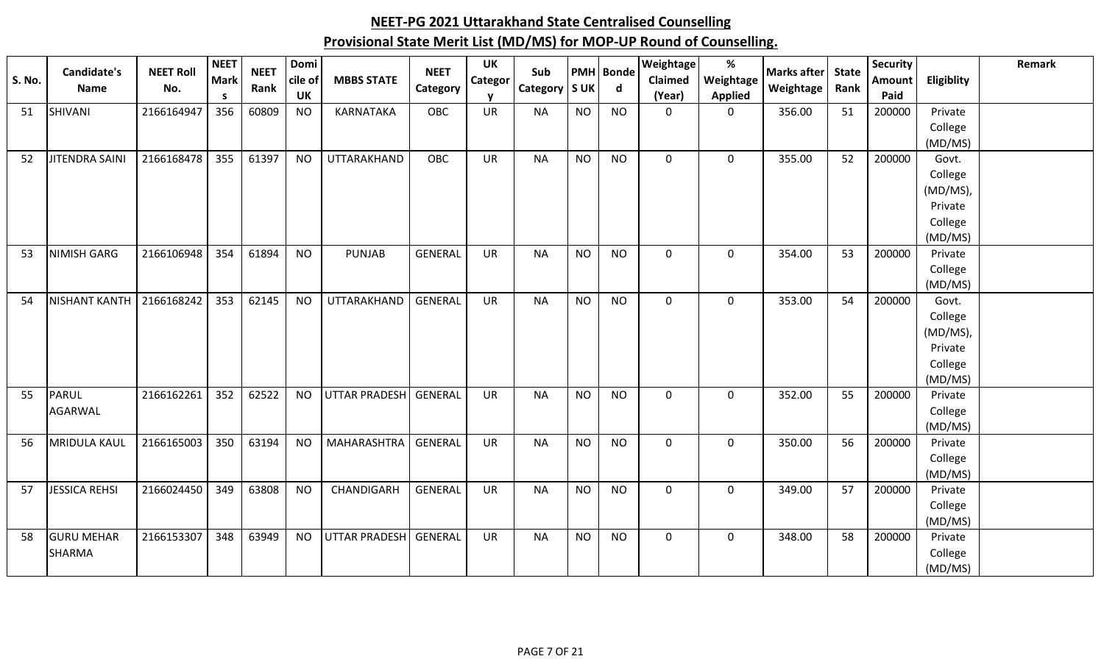| <b>S. No.</b> | Candidate's<br>Name | <b>NEET Roll</b><br>No. | <b>NEET</b><br><b>Mark</b><br><b>S</b> | <b>NEET</b><br>Rank | Domi<br>cile of<br>UK | <b>MBBS STATE</b>    | <b>NEET</b><br>Category | <b>UK</b><br>Categor<br>v | Sub<br>Category   S UK |           | <b>PMH</b> Bonde<br>$\mathsf{d}$ | Weightage<br>Claimed<br>(Year) | %<br>Weightage<br><b>Applied</b> | Marks after<br>Weightage | <b>State</b><br>Rank | Security<br>Amount<br>Paid | <b>Eligiblity</b> | Remark |
|---------------|---------------------|-------------------------|----------------------------------------|---------------------|-----------------------|----------------------|-------------------------|---------------------------|------------------------|-----------|----------------------------------|--------------------------------|----------------------------------|--------------------------|----------------------|----------------------------|-------------------|--------|
| 51            | SHIVANI             | 2166164947              | 356                                    | 60809               | <b>NO</b>             | KARNATAKA            | <b>OBC</b>              | <b>UR</b>                 | <b>NA</b>              | <b>NO</b> | <b>NO</b>                        | $\mathbf 0$                    | $\mathbf 0$                      | 356.00                   | 51                   | 200000                     | Private           |        |
|               |                     |                         |                                        |                     |                       |                      |                         |                           |                        |           |                                  |                                |                                  |                          |                      |                            | College           |        |
|               |                     |                         |                                        |                     |                       |                      |                         |                           |                        |           |                                  |                                |                                  |                          |                      |                            | (MD/MS)           |        |
| 52            | JITENDRA SAINI      | 2166168478              | 355                                    | 61397               | <b>NO</b>             | UTTARAKHAND          | OBC                     | UR                        | <b>NA</b>              | <b>NO</b> | <b>NO</b>                        | $\mathbf 0$                    | $\mathbf 0$                      | 355.00                   | 52                   | 200000                     | Govt.             |        |
|               |                     |                         |                                        |                     |                       |                      |                         |                           |                        |           |                                  |                                |                                  |                          |                      |                            | College           |        |
|               |                     |                         |                                        |                     |                       |                      |                         |                           |                        |           |                                  |                                |                                  |                          |                      |                            | (MD/MS),          |        |
|               |                     |                         |                                        |                     |                       |                      |                         |                           |                        |           |                                  |                                |                                  |                          |                      |                            | Private           |        |
|               |                     |                         |                                        |                     |                       |                      |                         |                           |                        |           |                                  |                                |                                  |                          |                      |                            | College           |        |
|               |                     |                         |                                        |                     |                       |                      |                         |                           |                        |           |                                  |                                |                                  |                          |                      |                            | (MD/MS)           |        |
| 53            | NIMISH GARG         | 2166106948              | 354                                    | 61894               | <b>NO</b>             | <b>PUNJAB</b>        | <b>GENERAL</b>          | <b>UR</b>                 | <b>NA</b>              | <b>NO</b> | <b>NO</b>                        | $\mathbf 0$                    | $\mathbf 0$                      | 354.00                   | 53                   | 200000                     | Private           |        |
|               |                     |                         |                                        |                     |                       |                      |                         |                           |                        |           |                                  |                                |                                  |                          |                      |                            | College           |        |
|               | NISHANT KANTH       | 2166168242              | 353                                    | 62145               | <b>NO</b>             | UTTARAKHAND          | <b>GENERAL</b>          | <b>UR</b>                 | <b>NA</b>              | <b>NO</b> | <b>NO</b>                        | $\mathbf 0$                    | $\mathbf 0$                      | 353.00                   | 54                   | 200000                     | (MD/MS)<br>Govt.  |        |
| 54            |                     |                         |                                        |                     |                       |                      |                         |                           |                        |           |                                  |                                |                                  |                          |                      |                            | College           |        |
|               |                     |                         |                                        |                     |                       |                      |                         |                           |                        |           |                                  |                                |                                  |                          |                      |                            | (MD/MS),          |        |
|               |                     |                         |                                        |                     |                       |                      |                         |                           |                        |           |                                  |                                |                                  |                          |                      |                            | Private           |        |
|               |                     |                         |                                        |                     |                       |                      |                         |                           |                        |           |                                  |                                |                                  |                          |                      |                            | College           |        |
|               |                     |                         |                                        |                     |                       |                      |                         |                           |                        |           |                                  |                                |                                  |                          |                      |                            | (MD/MS)           |        |
| 55            | <b>PARUL</b>        | 2166162261              | 352                                    | 62522               | <b>NO</b>             | <b>UTTAR PRADESH</b> | GENERAL                 | <b>UR</b>                 | <b>NA</b>              | <b>NO</b> | <b>NO</b>                        | $\mathbf 0$                    | $\mathbf 0$                      | 352.00                   | 55                   | 200000                     | Private           |        |
|               | <b>AGARWAL</b>      |                         |                                        |                     |                       |                      |                         |                           |                        |           |                                  |                                |                                  |                          |                      |                            | College           |        |
|               |                     |                         |                                        |                     |                       |                      |                         |                           |                        |           |                                  |                                |                                  |                          |                      |                            | (MD/MS)           |        |
| 56            | <b>MRIDULA KAUL</b> | 2166165003              | 350                                    | 63194               | <b>NO</b>             | <b>MAHARASHTRA</b>   | <b>GENERAL</b>          | <b>UR</b>                 | <b>NA</b>              | <b>NO</b> | <b>NO</b>                        | $\mathbf 0$                    | $\mathbf 0$                      | 350.00                   | 56                   | 200000                     | Private           |        |
|               |                     |                         |                                        |                     |                       |                      |                         |                           |                        |           |                                  |                                |                                  |                          |                      |                            | College           |        |
|               |                     |                         |                                        |                     |                       |                      |                         |                           |                        |           |                                  |                                |                                  |                          |                      |                            | (MD/MS)           |        |
| 57            | JESSICA REHSI       | 2166024450              | 349                                    | 63808               | <b>NO</b>             | CHANDIGARH           | <b>GENERAL</b>          | <b>UR</b>                 | <b>NA</b>              | <b>NO</b> | <b>NO</b>                        | $\mathbf 0$                    | $\mathbf 0$                      | 349.00                   | 57                   | 200000                     | Private           |        |
|               |                     |                         |                                        |                     |                       |                      |                         |                           |                        |           |                                  |                                |                                  |                          |                      |                            | College           |        |
|               |                     |                         |                                        |                     |                       |                      |                         |                           |                        |           |                                  |                                |                                  |                          |                      |                            | (MD/MS)           |        |
| 58            | <b>GURU MEHAR</b>   | 2166153307              | 348                                    | 63949               | <b>NO</b>             | <b>UTTAR PRADESH</b> | GENERAL                 | <b>UR</b>                 | <b>NA</b>              | <b>NO</b> | <b>NO</b>                        | $\mathbf 0$                    | $\mathbf 0$                      | 348.00                   | 58                   | 200000                     | Private           |        |
|               | <b>SHARMA</b>       |                         |                                        |                     |                       |                      |                         |                           |                        |           |                                  |                                |                                  |                          |                      |                            | College           |        |
|               |                     |                         |                                        |                     |                       |                      |                         |                           |                        |           |                                  |                                |                                  |                          |                      |                            | (MD/MS)           |        |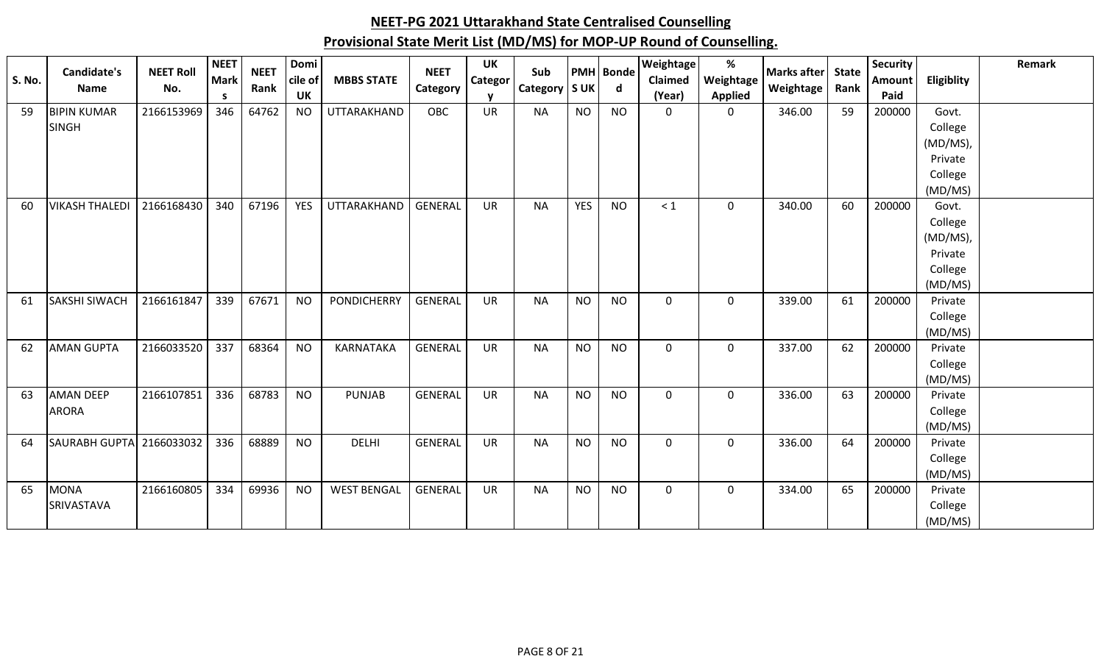| <b>S. No.</b> | Candidate's<br><b>Name</b> | <b>NEET Roll</b><br>No. | <b>NEET</b><br><b>Mark</b> | <b>NEET</b><br>Rank | Domi<br>cile of | <b>MBBS STATE</b>  | <b>NEET</b>    | <b>UK</b><br><b>Categor</b> | Sub       | <b>SUK</b> | <b>PMH</b> Bonde<br>$\mathsf{d}$ | Weightage<br>Claimed | %<br>Weightage | <b>Marks after</b><br>Weightage | <b>State</b><br>Rank | <b>Security</b><br>Amount | Eligiblity | Remark |
|---------------|----------------------------|-------------------------|----------------------------|---------------------|-----------------|--------------------|----------------|-----------------------------|-----------|------------|----------------------------------|----------------------|----------------|---------------------------------|----------------------|---------------------------|------------|--------|
|               |                            |                         | S.                         |                     | <b>UK</b>       |                    | Category       |                             | Category  |            |                                  | (Year)               | <b>Applied</b> |                                 |                      | Paid                      |            |        |
| 59            | <b>BIPIN KUMAR</b>         | 2166153969              | 346                        | 64762               | <b>NO</b>       | UTTARAKHAND        | OBC            | <b>UR</b>                   | <b>NA</b> | <b>NO</b>  | <b>NO</b>                        | $\Omega$             | $\Omega$       | 346.00                          | 59                   | 200000                    | Govt.      |        |
|               | <b>SINGH</b>               |                         |                            |                     |                 |                    |                |                             |           |            |                                  |                      |                |                                 |                      |                           | College    |        |
|               |                            |                         |                            |                     |                 |                    |                |                             |           |            |                                  |                      |                |                                 |                      |                           | (MD/MS),   |        |
|               |                            |                         |                            |                     |                 |                    |                |                             |           |            |                                  |                      |                |                                 |                      |                           | Private    |        |
|               |                            |                         |                            |                     |                 |                    |                |                             |           |            |                                  |                      |                |                                 |                      |                           | College    |        |
|               |                            |                         |                            |                     |                 |                    |                |                             |           |            |                                  |                      |                |                                 |                      |                           | (MD/MS)    |        |
| 60            | <b>VIKASH THALEDI</b>      | 2166168430              | 340                        | 67196               | <b>YES</b>      | <b>UTTARAKHAND</b> | GENERAL        | <b>UR</b>                   | <b>NA</b> | <b>YES</b> | <b>NO</b>                        | < 1                  | $\mathbf 0$    | 340.00                          | 60                   | 200000                    | Govt.      |        |
|               |                            |                         |                            |                     |                 |                    |                |                             |           |            |                                  |                      |                |                                 |                      |                           | College    |        |
|               |                            |                         |                            |                     |                 |                    |                |                             |           |            |                                  |                      |                |                                 |                      |                           | (MD/MS),   |        |
|               |                            |                         |                            |                     |                 |                    |                |                             |           |            |                                  |                      |                |                                 |                      |                           | Private    |        |
|               |                            |                         |                            |                     |                 |                    |                |                             |           |            |                                  |                      |                |                                 |                      |                           | College    |        |
|               |                            |                         |                            |                     |                 |                    |                |                             |           |            |                                  |                      |                |                                 |                      |                           | (MD/MS)    |        |
| 61            | <b>SAKSHI SIWACH</b>       | 2166161847              | 339                        | 67671               | <b>NO</b>       | <b>PONDICHERRY</b> | <b>GENERAL</b> | <b>UR</b>                   | <b>NA</b> | <b>NO</b>  | <b>NO</b>                        | $\mathbf 0$          | $\mathbf 0$    | 339.00                          | 61                   | 200000                    | Private    |        |
|               |                            |                         |                            |                     |                 |                    |                |                             |           |            |                                  |                      |                |                                 |                      |                           | College    |        |
|               |                            |                         |                            |                     |                 |                    |                |                             |           |            |                                  |                      |                |                                 |                      |                           | (MD/MS)    |        |
| 62            | <b>AMAN GUPTA</b>          | 2166033520              | 337                        | 68364               | <b>NO</b>       | KARNATAKA          | <b>GENERAL</b> | <b>UR</b>                   | <b>NA</b> | <b>NO</b>  | <b>NO</b>                        | $\Omega$             | $\mathbf{0}$   | 337.00                          | 62                   | 200000                    | Private    |        |
|               |                            |                         |                            |                     |                 |                    |                |                             |           |            |                                  |                      |                |                                 |                      |                           | College    |        |
|               |                            |                         |                            |                     |                 |                    |                |                             |           |            |                                  |                      |                |                                 |                      |                           | (MD/MS)    |        |
| 63            | <b>AMAN DEEP</b>           | 2166107851              | 336                        | 68783               | <b>NO</b>       | <b>PUNJAB</b>      | <b>GENERAL</b> | <b>UR</b>                   | <b>NA</b> | <b>NO</b>  | <b>NO</b>                        | $\mathbf 0$          | $\mathbf 0$    | 336.00                          | 63                   | 200000                    | Private    |        |
|               | ARORA                      |                         |                            |                     |                 |                    |                |                             |           |            |                                  |                      |                |                                 |                      |                           | College    |        |
|               |                            |                         |                            |                     |                 |                    |                |                             |           |            |                                  |                      |                |                                 |                      |                           | (MD/MS)    |        |
| 64            | <b>SAURABH GUPTA</b>       | 2166033032              | 336                        | 68889               | <b>NO</b>       | <b>DELHI</b>       | <b>GENERAL</b> | UR                          | <b>NA</b> | <b>NO</b>  | <b>NO</b>                        | $\mathbf 0$          | $\mathbf 0$    | 336.00                          | 64                   | 200000                    | Private    |        |
|               |                            |                         |                            |                     |                 |                    |                |                             |           |            |                                  |                      |                |                                 |                      |                           | College    |        |
|               |                            |                         | 334                        |                     |                 |                    |                |                             |           |            |                                  |                      |                |                                 |                      |                           | (MD/MS)    |        |
| 65            | <b>MONA</b>                | 2166160805              |                            | 69936               | <b>NO</b>       | <b>WEST BENGAL</b> | <b>GENERAL</b> | UR                          | <b>NA</b> | <b>NO</b>  | <b>NO</b>                        | $\mathbf 0$          | $\mathbf 0$    | 334.00                          | 65                   | 200000                    | Private    |        |
|               | <b>SRIVASTAVA</b>          |                         |                            |                     |                 |                    |                |                             |           |            |                                  |                      |                |                                 |                      |                           | College    |        |
|               |                            |                         |                            |                     |                 |                    |                |                             |           |            |                                  |                      |                |                                 |                      |                           | (MD/MS)    |        |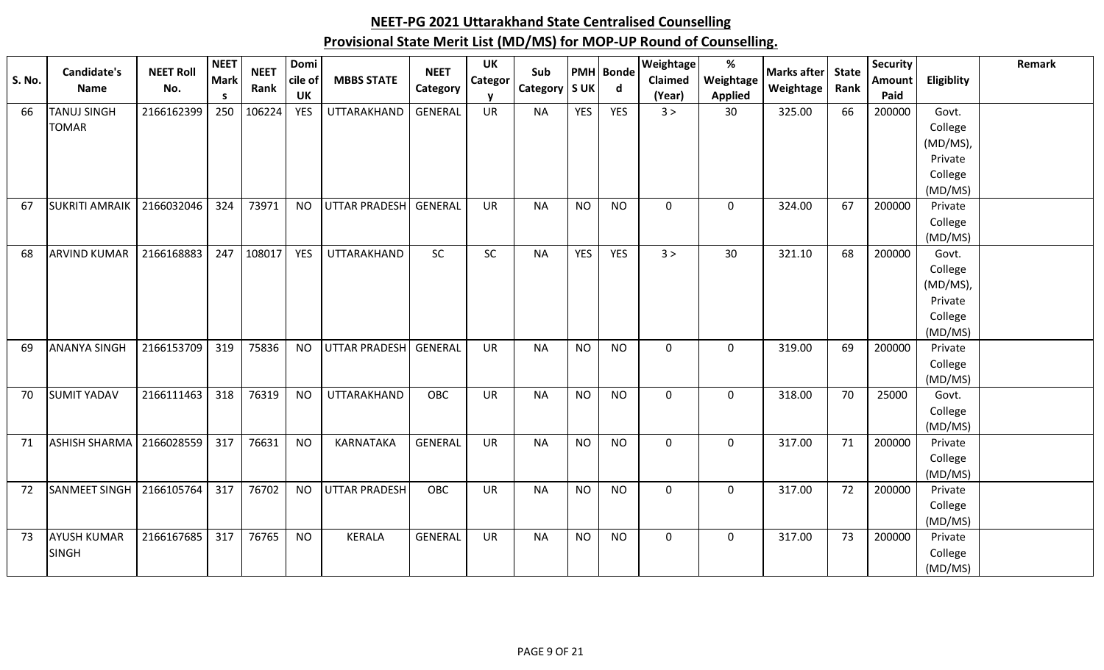| <b>S. No.</b> | Candidate's           | <b>NEET Roll</b> | <b>NEET</b><br><b>Mark</b> | <b>NEET</b> | Domi<br>cile of | <b>MBBS STATE</b>     | <b>NEET</b>    | <b>UK</b><br>Categor | Sub             |            | <b>PMH</b> Bonde | Weightage<br><b>Claimed</b> | %<br>Weightage | Marks after | <b>State</b> | <b>Security</b><br>Amount | Eligiblity         | <b>Remark</b> |
|---------------|-----------------------|------------------|----------------------------|-------------|-----------------|-----------------------|----------------|----------------------|-----------------|------------|------------------|-----------------------------|----------------|-------------|--------------|---------------------------|--------------------|---------------|
|               | Name                  | No.              | <b>S</b>                   | Rank        | <b>UK</b>       |                       | Category       | v                    | Category   S UK |            | $\mathsf{d}$     | (Year)                      | <b>Applied</b> | Weightage   | Rank         | Paid                      |                    |               |
| 66            | <b>TANUJ SINGH</b>    | 2166162399       | 250                        | 106224      | <b>YES</b>      | UTTARAKHAND           | <b>GENERAL</b> | <b>UR</b>            | <b>NA</b>       | <b>YES</b> | <b>YES</b>       | 3 >                         | 30             | 325.00      | 66           | 200000                    | Govt.              |               |
|               | <b>TOMAR</b>          |                  |                            |             |                 |                       |                |                      |                 |            |                  |                             |                |             |              |                           | College            |               |
|               |                       |                  |                            |             |                 |                       |                |                      |                 |            |                  |                             |                |             |              |                           | (MD/MS),           |               |
|               |                       |                  |                            |             |                 |                       |                |                      |                 |            |                  |                             |                |             |              |                           | Private            |               |
|               |                       |                  |                            |             |                 |                       |                |                      |                 |            |                  |                             |                |             |              |                           | College<br>(MD/MS) |               |
| 67            | <b>SUKRITI AMRAIK</b> | 2166032046       | 324                        | 73971       | <b>NO</b>       | UTTAR PRADESH GENERAL |                | <b>UR</b>            | <b>NA</b>       | <b>NO</b>  | <b>NO</b>        | $\mathbf 0$                 | $\mathbf 0$    | 324.00      | 67           | 200000                    | Private            |               |
|               |                       |                  |                            |             |                 |                       |                |                      |                 |            |                  |                             |                |             |              |                           | College            |               |
|               |                       |                  |                            |             |                 |                       |                |                      |                 |            |                  |                             |                |             |              |                           | (MD/MS)            |               |
| 68            | <b>ARVIND KUMAR</b>   | 2166168883       | 247                        | 108017      | <b>YES</b>      | UTTARAKHAND           | SC             | SC                   | <b>NA</b>       | <b>YES</b> | YES              | 3 >                         | 30             | 321.10      | 68           | 200000                    | Govt.              |               |
|               |                       |                  |                            |             |                 |                       |                |                      |                 |            |                  |                             |                |             |              |                           | College            |               |
|               |                       |                  |                            |             |                 |                       |                |                      |                 |            |                  |                             |                |             |              |                           | (MD/MS),           |               |
|               |                       |                  |                            |             |                 |                       |                |                      |                 |            |                  |                             |                |             |              |                           | Private            |               |
|               |                       |                  |                            |             |                 |                       |                |                      |                 |            |                  |                             |                |             |              |                           | College            |               |
|               |                       |                  |                            |             |                 |                       |                |                      |                 |            |                  |                             |                |             |              |                           | (MD/MS)            |               |
| 69            | <b>ANANYA SINGH</b>   | 2166153709       | 319                        | 75836       | <b>NO</b>       | UTTAR PRADESH GENERAL |                | <b>UR</b>            | <b>NA</b>       | <b>NO</b>  | <b>NO</b>        | $\mathbf 0$                 | $\mathbf 0$    | 319.00      | 69           | 200000                    | Private<br>College |               |
|               |                       |                  |                            |             |                 |                       |                |                      |                 |            |                  |                             |                |             |              |                           | (MD/MS)            |               |
| 70            | <b>SUMIT YADAV</b>    | 2166111463       | 318                        | 76319       | <b>NO</b>       | UTTARAKHAND           | OBC            | <b>UR</b>            | <b>NA</b>       | <b>NO</b>  | <b>NO</b>        | $\mathbf 0$                 | $\mathbf 0$    | 318.00      | 70           | 25000                     | Govt.              |               |
|               |                       |                  |                            |             |                 |                       |                |                      |                 |            |                  |                             |                |             |              |                           | College            |               |
|               |                       |                  |                            |             |                 |                       |                |                      |                 |            |                  |                             |                |             |              |                           | (MD/MS)            |               |
| 71            | <b>ASHISH SHARMA</b>  | 2166028559       | 317                        | 76631       | <b>NO</b>       | KARNATAKA             | <b>GENERAL</b> | <b>UR</b>            | <b>NA</b>       | <b>NO</b>  | <b>NO</b>        | $\mathbf 0$                 | $\mathbf 0$    | 317.00      | 71           | 200000                    | Private            |               |
|               |                       |                  |                            |             |                 |                       |                |                      |                 |            |                  |                             |                |             |              |                           | College            |               |
|               |                       |                  |                            |             |                 |                       |                |                      |                 |            |                  |                             |                |             |              |                           | (MD/MS)            |               |
| 72            | SANMEET SINGH         | 2166105764       | 317                        | 76702       | <b>NO</b>       | <b>UTTAR PRADESH</b>  | OBC            | UR                   | <b>NA</b>       | <b>NO</b>  | <b>NO</b>        | $\mathbf 0$                 | $\mathbf 0$    | 317.00      | 72           | 200000                    | Private            |               |
|               |                       |                  |                            |             |                 |                       |                |                      |                 |            |                  |                             |                |             |              |                           | College<br>(MD/MS) |               |
| 73            | <b>AYUSH KUMAR</b>    | 2166167685       | 317                        | 76765       | <b>NO</b>       | KERALA                | <b>GENERAL</b> | UR                   | <b>NA</b>       | <b>NO</b>  | <b>NO</b>        | $\mathbf 0$                 | $\mathbf 0$    | 317.00      | 73           | 200000                    | Private            |               |
|               | <b>SINGH</b>          |                  |                            |             |                 |                       |                |                      |                 |            |                  |                             |                |             |              |                           | College            |               |
|               |                       |                  |                            |             |                 |                       |                |                      |                 |            |                  |                             |                |             |              |                           | (MD/MS)            |               |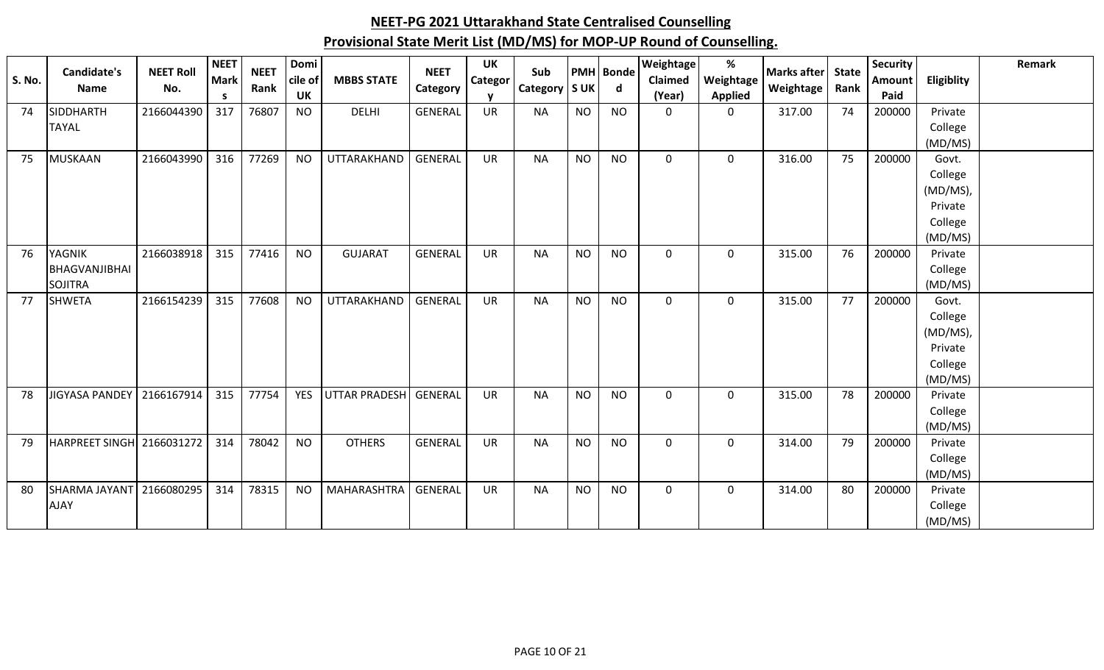|               | <b>Candidate's</b>    | <b>NEET Roll</b> | <b>NEET</b> | <b>NEET</b> | Domi       |                      | <b>NEET</b>    | <b>UK</b> | Sub             |           | <b>PMH</b> Bonde | <b>Weightage</b> | %              | <b>Marks after</b> | <b>State</b> | <b>Security</b> |            | Remark |
|---------------|-----------------------|------------------|-------------|-------------|------------|----------------------|----------------|-----------|-----------------|-----------|------------------|------------------|----------------|--------------------|--------------|-----------------|------------|--------|
| <b>S. No.</b> | <b>Name</b>           | No.              | <b>Mark</b> | Rank        | cile of    | <b>MBBS STATE</b>    | Category       | Categor   | Category   S UK |           | $\mathsf{d}$     | Claimed          | Weightage      | Weightage          | Rank         | <b>Amount</b>   | Eligiblity |        |
|               |                       |                  | S           |             | UK         |                      |                |           |                 |           |                  | (Year)           | <b>Applied</b> |                    |              | Paid            |            |        |
| 74            | <b>SIDDHARTH</b>      | 2166044390       | 317         | 76807       | <b>NO</b>  | <b>DELHI</b>         | <b>GENERAL</b> | <b>UR</b> | <b>NA</b>       | <b>NO</b> | <b>NO</b>        | $\Omega$         | $\Omega$       | 317.00             | 74           | 200000          | Private    |        |
|               | <b>TAYAL</b>          |                  |             |             |            |                      |                |           |                 |           |                  |                  |                |                    |              |                 | College    |        |
|               |                       |                  |             |             |            |                      |                |           |                 |           |                  |                  |                |                    |              |                 | (MD/MS)    |        |
| 75            | <b>MUSKAAN</b>        | 2166043990       | 316         | 77269       | <b>NO</b>  | UTTARAKHAND          | <b>GENERAL</b> | <b>UR</b> | <b>NA</b>       | <b>NO</b> | <b>NO</b>        | $\mathbf 0$      | $\mathbf 0$    | 316.00             | 75           | 200000          | Govt.      |        |
|               |                       |                  |             |             |            |                      |                |           |                 |           |                  |                  |                |                    |              |                 | College    |        |
|               |                       |                  |             |             |            |                      |                |           |                 |           |                  |                  |                |                    |              |                 | (MD/MS),   |        |
|               |                       |                  |             |             |            |                      |                |           |                 |           |                  |                  |                |                    |              |                 | Private    |        |
|               |                       |                  |             |             |            |                      |                |           |                 |           |                  |                  |                |                    |              |                 | College    |        |
|               |                       |                  |             |             |            |                      |                |           |                 |           |                  |                  |                |                    |              |                 | (MD/MS)    |        |
| 76            | <b>YAGNIK</b>         | 2166038918       | 315         | 77416       | <b>NO</b>  | <b>GUJARAT</b>       | <b>GENERAL</b> | <b>UR</b> | <b>NA</b>       | <b>NO</b> | <b>NO</b>        | $\mathbf 0$      | 0              | 315.00             | 76           | 200000          | Private    |        |
|               | BHAGVANJIBHAI         |                  |             |             |            |                      |                |           |                 |           |                  |                  |                |                    |              |                 | College    |        |
|               | <b>SOJITRA</b>        |                  |             |             |            |                      |                |           |                 |           |                  |                  |                |                    |              |                 | (MD/MS)    |        |
| 77            | <b>SHWETA</b>         | 2166154239       | 315         | 77608       | <b>NO</b>  | UTTARAKHAND          | GENERAL        | <b>UR</b> | <b>NA</b>       | <b>NO</b> | <b>NO</b>        | $\Omega$         | 0              | 315.00             | 77           | 200000          | Govt.      |        |
|               |                       |                  |             |             |            |                      |                |           |                 |           |                  |                  |                |                    |              |                 | College    |        |
|               |                       |                  |             |             |            |                      |                |           |                 |           |                  |                  |                |                    |              |                 | (MD/MS),   |        |
|               |                       |                  |             |             |            |                      |                |           |                 |           |                  |                  |                |                    |              |                 | Private    |        |
|               |                       |                  |             |             |            |                      |                |           |                 |           |                  |                  |                |                    |              |                 | College    |        |
|               |                       |                  |             |             |            |                      |                |           |                 |           |                  |                  |                |                    |              |                 | (MD/MS)    |        |
| 78            | <b>JIGYASA PANDEY</b> | 2166167914       | 315         | 77754       | <b>YES</b> | <b>UTTAR PRADESH</b> | GENERAL        | <b>UR</b> | <b>NA</b>       | <b>NO</b> | <b>NO</b>        | $\mathbf 0$      | $\mathbf 0$    | 315.00             | 78           | 200000          | Private    |        |
|               |                       |                  |             |             |            |                      |                |           |                 |           |                  |                  |                |                    |              |                 | College    |        |
|               |                       |                  |             |             |            |                      |                |           |                 |           |                  |                  |                |                    |              |                 | (MD/MS)    |        |
| 79            | <b>HARPREET SINGH</b> | 2166031272       | 314         | 78042       | <b>NO</b>  | <b>OTHERS</b>        | <b>GENERAL</b> | <b>UR</b> | <b>NA</b>       | <b>NO</b> | <b>NO</b>        | $\mathbf 0$      | $\mathbf 0$    | 314.00             | 79           | 200000          | Private    |        |
|               |                       |                  |             |             |            |                      |                |           |                 |           |                  |                  |                |                    |              |                 | College    |        |
|               |                       |                  |             |             |            |                      |                |           |                 |           |                  |                  |                |                    |              |                 | (MD/MS)    |        |
| 80            | SHARMA JAYANT         | 2166080295       | 314         | 78315       | <b>NO</b>  | MAHARASHTRA          | GENERAL        | <b>UR</b> | <b>NA</b>       | <b>NO</b> | <b>NO</b>        | 0                | 0              | 314.00             | 80           | 200000          | Private    |        |
|               | <b>AJAY</b>           |                  |             |             |            |                      |                |           |                 |           |                  |                  |                |                    |              |                 | College    |        |
|               |                       |                  |             |             |            |                      |                |           |                 |           |                  |                  |                |                    |              |                 | (MD/MS)    |        |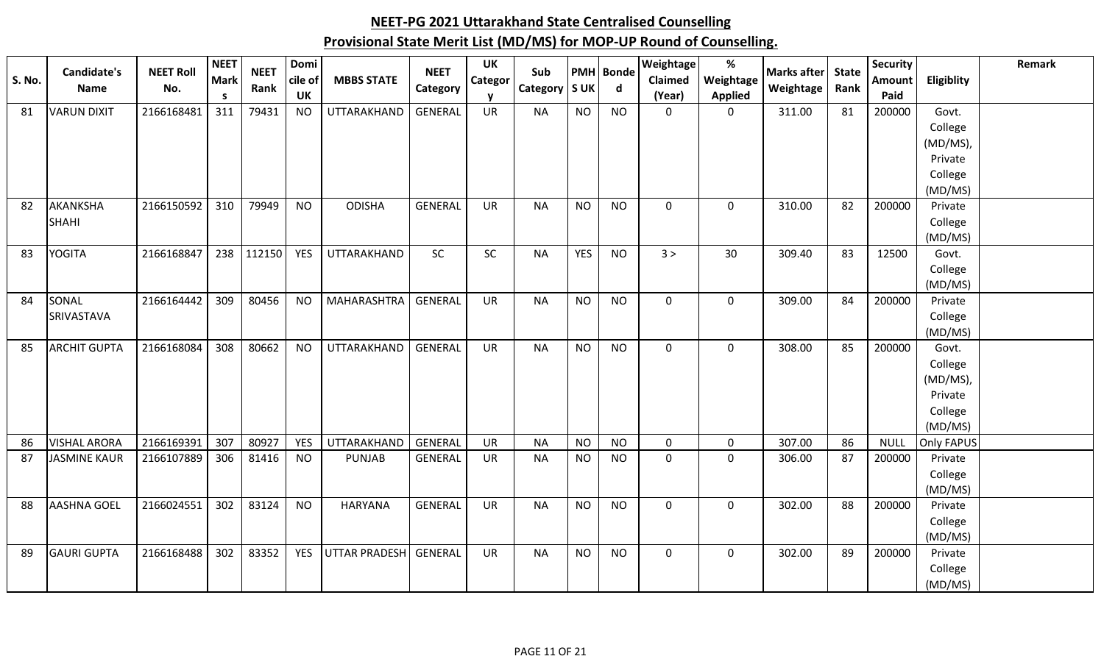| <b>S. No.</b> | Candidate's         | <b>NEET Roll</b> | <b>NEET</b><br>Mark | <b>NEET</b> | Domi<br>cile of | <b>MBBS STATE</b> | <b>NEET</b>    | UK<br>Categor | Sub       |            | <b>PMH</b> Bonde | Weightage<br>Claimed | $\%$<br>Weightage | <b>Marks after</b> | <b>State</b> | <b>Security</b><br>Amount | Eligiblity         | Remark |
|---------------|---------------------|------------------|---------------------|-------------|-----------------|-------------------|----------------|---------------|-----------|------------|------------------|----------------------|-------------------|--------------------|--------------|---------------------------|--------------------|--------|
|               | Name                | No.              | <b>S</b>            | Rank        | UK              |                   | Category       |               | Category  | <b>SUK</b> | $\mathsf{d}$     | (Year)               | <b>Applied</b>    | Weightage          | Rank         | Paid                      |                    |        |
| 81            | <b>VARUN DIXIT</b>  | 2166168481       | 311                 | 79431       | <b>NO</b>       | UTTARAKHAND       | <b>GENERAL</b> | <b>UR</b>     | <b>NA</b> | <b>NO</b>  | <b>NO</b>        | $\mathbf 0$          | $\mathbf 0$       | 311.00             | 81           | 200000                    | Govt.              |        |
|               |                     |                  |                     |             |                 |                   |                |               |           |            |                  |                      |                   |                    |              |                           | College            |        |
|               |                     |                  |                     |             |                 |                   |                |               |           |            |                  |                      |                   |                    |              |                           | (MD/MS),           |        |
|               |                     |                  |                     |             |                 |                   |                |               |           |            |                  |                      |                   |                    |              |                           | Private            |        |
|               |                     |                  |                     |             |                 |                   |                |               |           |            |                  |                      |                   |                    |              |                           | College            |        |
|               |                     |                  |                     |             |                 |                   |                |               |           |            |                  |                      |                   |                    |              |                           | (MD/MS)            |        |
| 82            | <b>AKANKSHA</b>     | 2166150592       | 310                 | 79949       | <b>NO</b>       | <b>ODISHA</b>     | <b>GENERAL</b> | <b>UR</b>     | <b>NA</b> | <b>NO</b>  | <b>NO</b>        | $\mathbf 0$          | $\mathbf 0$       | 310.00             | 82           | 200000                    | Private            |        |
|               | <b>SHAHI</b>        |                  |                     |             |                 |                   |                |               |           |            |                  |                      |                   |                    |              |                           | College<br>(MD/MS) |        |
| 83            | <b>YOGITA</b>       | 2166168847       | 238                 | 112150      | <b>YES</b>      | UTTARAKHAND       | <b>SC</b>      | SC            | <b>NA</b> | <b>YES</b> | <b>NO</b>        | 3 >                  | 30                | 309.40             | 83           | 12500                     | Govt.              |        |
|               |                     |                  |                     |             |                 |                   |                |               |           |            |                  |                      |                   |                    |              |                           | College            |        |
|               |                     |                  |                     |             |                 |                   |                |               |           |            |                  |                      |                   |                    |              |                           | (MD/MS)            |        |
| 84            | SONAL               | 2166164442       | 309                 | 80456       | <b>NO</b>       | MAHARASHTRA       | <b>GENERAL</b> | <b>UR</b>     | <b>NA</b> | <b>NO</b>  | <b>NO</b>        | $\mathbf 0$          | $\mathsf 0$       | 309.00             | 84           | 200000                    | Private            |        |
|               | SRIVASTAVA          |                  |                     |             |                 |                   |                |               |           |            |                  |                      |                   |                    |              |                           | College            |        |
|               |                     |                  |                     |             |                 |                   |                |               |           |            |                  |                      |                   |                    |              |                           | (MD/MS)            |        |
| 85            | <b>ARCHIT GUPTA</b> | 2166168084       | 308                 | 80662       | <b>NO</b>       | UTTARAKHAND       | <b>GENERAL</b> | <b>UR</b>     | <b>NA</b> | <b>NO</b>  | <b>NO</b>        | $\mathbf 0$          | $\mathbf 0$       | 308.00             | 85           | 200000                    | Govt.              |        |
|               |                     |                  |                     |             |                 |                   |                |               |           |            |                  |                      |                   |                    |              |                           | College            |        |
|               |                     |                  |                     |             |                 |                   |                |               |           |            |                  |                      |                   |                    |              |                           | (MD/MS),           |        |
|               |                     |                  |                     |             |                 |                   |                |               |           |            |                  |                      |                   |                    |              |                           | Private            |        |
|               |                     |                  |                     |             |                 |                   |                |               |           |            |                  |                      |                   |                    |              |                           | College            |        |
|               |                     |                  |                     |             |                 |                   |                |               |           |            |                  |                      |                   |                    |              |                           | (MD/MS)            |        |
| 86            | <b>VISHAL ARORA</b> | 2166169391       | 307                 | 80927       | <b>YES</b>      | UTTARAKHAND       | GENERAL        | <b>UR</b>     | <b>NA</b> | <b>NO</b>  | <b>NO</b>        | $\mathbf 0$          | $\mathbf 0$       | 307.00             | 86           | <b>NULL</b>               | Only FAPUS         |        |
| 87            | <b>JASMINE KAUR</b> | 2166107889       | 306                 | 81416       | <b>NO</b>       | <b>PUNJAB</b>     | <b>GENERAL</b> | <b>UR</b>     | <b>NA</b> | <b>NO</b>  | <b>NO</b>        | $\mathbf 0$          | $\mathbf 0$       | 306.00             | 87           | 200000                    | Private            |        |
|               |                     |                  |                     |             |                 |                   |                |               |           |            |                  |                      |                   |                    |              |                           | College            |        |
|               |                     |                  |                     |             |                 |                   |                |               |           |            |                  |                      |                   |                    |              |                           | (MD/MS)            |        |
| 88            | <b>AASHNA GOEL</b>  | 2166024551       | 302                 | 83124       | <b>NO</b>       | <b>HARYANA</b>    | <b>GENERAL</b> | <b>UR</b>     | <b>NA</b> | <b>NO</b>  | <b>NO</b>        | $\mathbf 0$          | $\mathbf 0$       | 302.00             | 88           | 200000                    | Private            |        |
|               |                     |                  |                     |             |                 |                   |                |               |           |            |                  |                      |                   |                    |              |                           | College<br>(MD/MS) |        |
| 89            | <b>GAURI GUPTA</b>  | 2166168488       | 302                 | 83352       | <b>YES</b>      | UTTAR PRADESH     | <b>GENERAL</b> | <b>UR</b>     | <b>NA</b> | <b>NO</b>  | <b>NO</b>        | $\mathbf 0$          | $\mathbf 0$       | 302.00             | 89           | 200000                    | Private            |        |
|               |                     |                  |                     |             |                 |                   |                |               |           |            |                  |                      |                   |                    |              |                           | College            |        |
|               |                     |                  |                     |             |                 |                   |                |               |           |            |                  |                      |                   |                    |              |                           |                    |        |
|               |                     |                  |                     |             |                 |                   |                |               |           |            |                  |                      |                   |                    |              |                           | (MD/MS)            |        |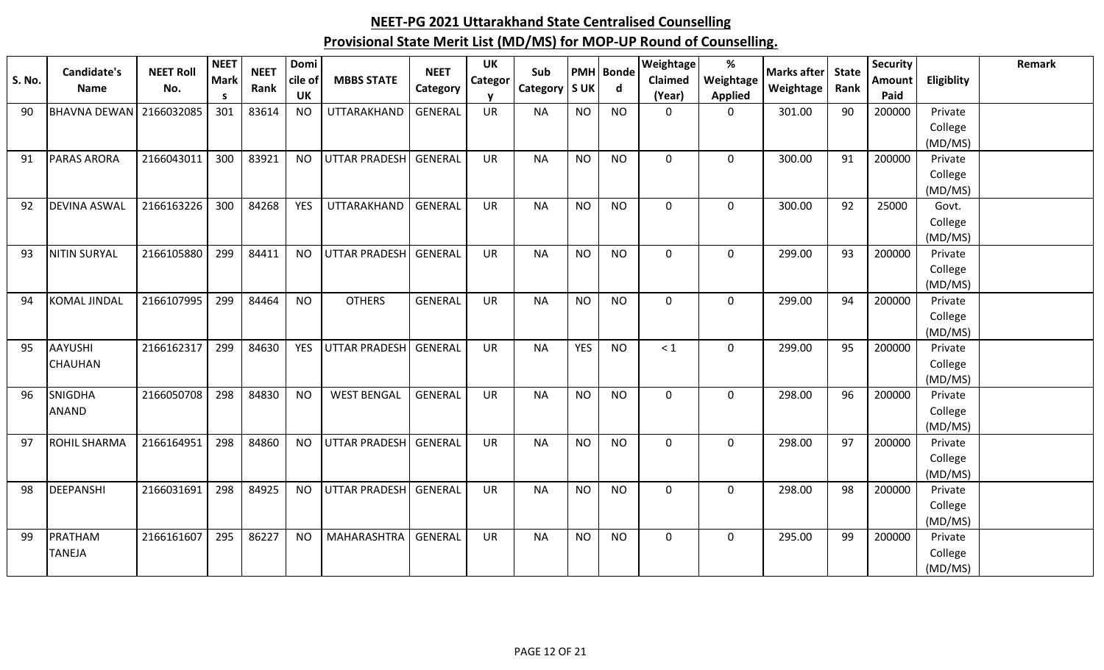| <b>S. No.</b> | <b>Candidate's</b><br><b>Name</b> | <b>NEET Roll</b><br>No. | <b>NEET</b><br><b>Mark</b> | <b>NEET</b><br>Rank | Domi<br>cile of | <b>MBBS STATE</b>     | <b>NEET</b><br>Category | <b>UK</b><br>Categor | Sub<br>Category   S UK |                | <b>PMH</b> Bonde<br>d | <b>Weightage</b><br>Claimed | %<br>Weightage | <b>Marks after</b><br>Weightage | <b>State</b><br>Rank | <b>Security</b><br><b>Amount</b> | <b>Eligiblity</b>  | Remark |
|---------------|-----------------------------------|-------------------------|----------------------------|---------------------|-----------------|-----------------------|-------------------------|----------------------|------------------------|----------------|-----------------------|-----------------------------|----------------|---------------------------------|----------------------|----------------------------------|--------------------|--------|
|               |                                   |                         | S                          |                     | <b>UK</b>       |                       |                         |                      |                        |                |                       | (Year)                      | <b>Applied</b> |                                 |                      | Paid                             |                    |        |
| 90            | <b>BHAVNA DEWAN</b>               | 2166032085              | 301                        | 83614               | <b>NO</b>       | UTTARAKHAND           | <b>GENERAL</b>          | <b>UR</b>            | <b>NA</b>              | <b>NO</b>      | <b>NO</b>             | $\mathbf 0$                 | $\mathbf 0$    | 301.00                          | 90                   | 200000                           | Private            |        |
|               |                                   |                         |                            |                     |                 |                       |                         |                      |                        |                |                       |                             |                |                                 |                      |                                  | College            |        |
|               |                                   |                         | 300                        |                     | <b>NO</b>       |                       | GENERAL                 |                      | <b>NA</b>              | <b>NO</b>      |                       | $\mathbf 0$                 |                |                                 |                      |                                  | (MD/MS)            |        |
| 91            | <b>PARAS ARORA</b>                | 2166043011              |                            | 83921               |                 | UTTAR PRADESH         |                         | <b>UR</b>            |                        |                | <b>NO</b>             |                             | $\mathbf 0$    | 300.00                          | 91                   | 200000                           | Private<br>College |        |
|               |                                   |                         |                            |                     |                 |                       |                         |                      |                        |                |                       |                             |                |                                 |                      |                                  | (MD/MS)            |        |
| 92            | <b>DEVINA ASWAL</b>               | 2166163226              | 300                        | 84268               | <b>YES</b>      | UTTARAKHAND           | <b>GENERAL</b>          | <b>UR</b>            | <b>NA</b>              | N <sub>O</sub> | <b>NO</b>             | $\mathbf 0$                 | 0              | 300.00                          | 92                   | 25000                            | Govt.              |        |
|               |                                   |                         |                            |                     |                 |                       |                         |                      |                        |                |                       |                             |                |                                 |                      |                                  | College            |        |
|               |                                   |                         |                            |                     |                 |                       |                         |                      |                        |                |                       |                             |                |                                 |                      |                                  | (MD/MS)            |        |
| 93            | <b>NITIN SURYAL</b>               | 2166105880              | 299                        | 84411               | <b>NO</b>       | <b>UTTAR PRADESH</b>  | <b>GENERAL</b>          | <b>UR</b>            | <b>NA</b>              | <b>NO</b>      | <b>NO</b>             | $\mathbf 0$                 | $\mathbf 0$    | 299.00                          | 93                   | 200000                           | Private            |        |
|               |                                   |                         |                            |                     |                 |                       |                         |                      |                        |                |                       |                             |                |                                 |                      |                                  | College            |        |
|               |                                   |                         |                            |                     |                 |                       |                         |                      |                        |                |                       |                             |                |                                 |                      |                                  | (MD/MS)            |        |
| 94            | <b>KOMAL JINDAL</b>               | 2166107995              | 299                        | 84464               | <b>NO</b>       | <b>OTHERS</b>         | <b>GENERAL</b>          | <b>UR</b>            | <b>NA</b>              | <b>NO</b>      | <b>NO</b>             | $\mathbf 0$                 | $\mathbf 0$    | 299.00                          | 94                   | 200000                           | Private            |        |
|               |                                   |                         |                            |                     |                 |                       |                         |                      |                        |                |                       |                             |                |                                 |                      |                                  | College            |        |
|               |                                   |                         |                            |                     |                 |                       |                         |                      |                        |                |                       |                             |                |                                 |                      |                                  | (MD/MS)            |        |
| 95            | <b>AAYUSHI</b>                    | 2166162317              | 299                        | 84630               | <b>YES</b>      | <b>UTTAR PRADESH</b>  | <b>GENERAL</b>          | <b>UR</b>            | <b>NA</b>              | <b>YES</b>     | <b>NO</b>             | < 1                         | $\mathbf 0$    | 299.00                          | 95                   | 200000                           | Private            |        |
|               | <b>CHAUHAN</b>                    |                         |                            |                     |                 |                       |                         |                      |                        |                |                       |                             |                |                                 |                      |                                  | College            |        |
| 96            | <b>SNIGDHA</b>                    | 2166050708              | 298                        | 84830               | <b>NO</b>       | <b>WEST BENGAL</b>    | GENERAL                 | <b>UR</b>            | <b>NA</b>              | <b>NO</b>      | <b>NO</b>             | $\mathbf 0$                 | $\mathbf 0$    | 298.00                          | 96                   | 200000                           | (MD/MS)<br>Private |        |
|               | <b>ANAND</b>                      |                         |                            |                     |                 |                       |                         |                      |                        |                |                       |                             |                |                                 |                      |                                  | College            |        |
|               |                                   |                         |                            |                     |                 |                       |                         |                      |                        |                |                       |                             |                |                                 |                      |                                  | (MD/MS)            |        |
| 97            | <b>ROHIL SHARMA</b>               | 2166164951              | 298                        | 84860               | <b>NO</b>       | UTTAR PRADESH         | GENERAL                 | <b>UR</b>            | <b>NA</b>              | <b>NO</b>      | <b>NO</b>             | $\mathbf 0$                 | $\mathbf 0$    | 298.00                          | 97                   | 200000                           | Private            |        |
|               |                                   |                         |                            |                     |                 |                       |                         |                      |                        |                |                       |                             |                |                                 |                      |                                  | College            |        |
|               |                                   |                         |                            |                     |                 |                       |                         |                      |                        |                |                       |                             |                |                                 |                      |                                  | (MD/MS)            |        |
| 98            | DEEPANSHI                         | 2166031691              | 298                        | 84925               | <b>NO</b>       | UTTAR PRADESH GENERAL |                         | <b>UR</b>            | <b>NA</b>              | <b>NO</b>      | <b>NO</b>             | $\mathbf 0$                 | $\mathbf 0$    | 298.00                          | 98                   | 200000                           | Private            |        |
|               |                                   |                         |                            |                     |                 |                       |                         |                      |                        |                |                       |                             |                |                                 |                      |                                  | College            |        |
|               |                                   |                         |                            |                     |                 |                       |                         |                      |                        |                |                       |                             |                |                                 |                      |                                  | (MD/MS)            |        |
| 99            | PRATHAM                           | 2166161607              | 295                        | 86227               | <b>NO</b>       | <b>MAHARASHTRA</b>    | <b>GENERAL</b>          | <b>UR</b>            | <b>NA</b>              | <b>NO</b>      | <b>NO</b>             | $\mathbf 0$                 | $\mathbf 0$    | 295.00                          | 99                   | 200000                           | Private            |        |
|               | <b>TANEJA</b>                     |                         |                            |                     |                 |                       |                         |                      |                        |                |                       |                             |                |                                 |                      |                                  | College            |        |
|               |                                   |                         |                            |                     |                 |                       |                         |                      |                        |                |                       |                             |                |                                 |                      |                                  | (MD/MS)            |        |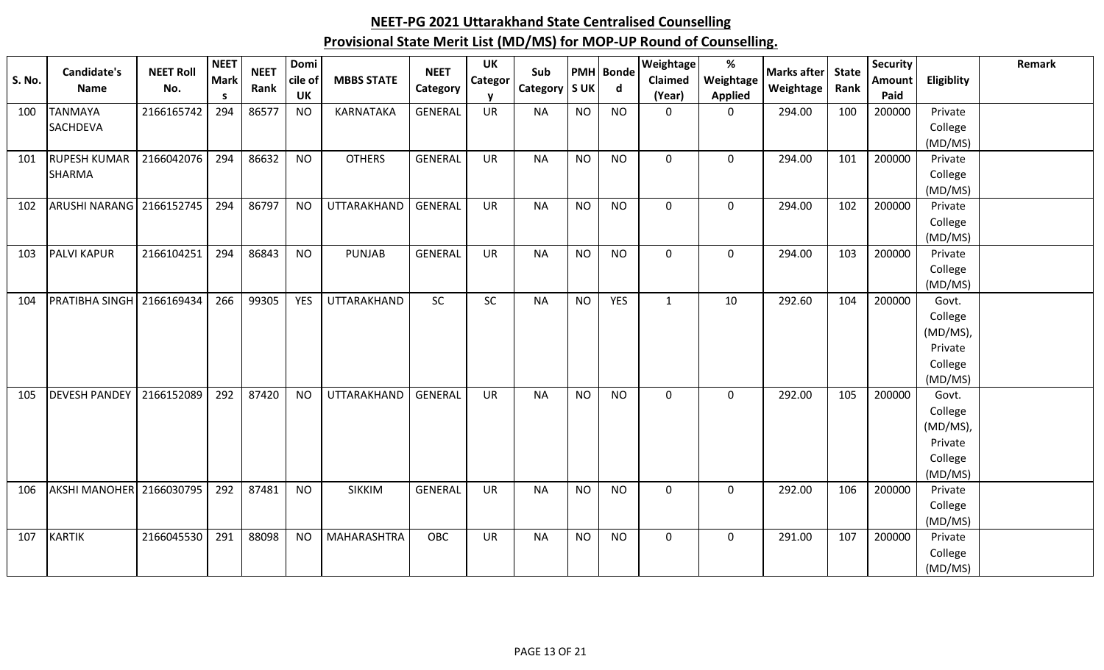| <b>S. No.</b> | Candidate's<br>Name        | <b>NEET Roll</b><br>No. | <b>NEET</b><br><b>Mark</b><br>S. | <b>NEET</b><br>Rank | Domi<br>cile of<br>UK | <b>MBBS STATE</b>  | <b>NEET</b><br>Category | <b>UK</b><br><b>Categor</b> | Sub<br>Category   S UK |           | <b>PMH</b> Bonde<br>d | Weightage<br>Claimed<br>(Year) | $\%$<br>Weightage<br><b>Applied</b> | <b>Marks after</b><br>Weightage | <b>State</b><br>Rank | <b>Security</b><br>Amount<br>Paid | Eligiblity       | Remark |
|---------------|----------------------------|-------------------------|----------------------------------|---------------------|-----------------------|--------------------|-------------------------|-----------------------------|------------------------|-----------|-----------------------|--------------------------------|-------------------------------------|---------------------------------|----------------------|-----------------------------------|------------------|--------|
| 100           | <b>TANMAYA</b>             | 2166165742              | 294                              | 86577               | <b>NO</b>             | <b>KARNATAKA</b>   | <b>GENERAL</b>          | <b>UR</b>                   | <b>NA</b>              | <b>NO</b> | <b>NO</b>             | $\mathbf{0}$                   | 0                                   | 294.00                          | 100                  | 200000                            | Private          |        |
|               | <b>SACHDEVA</b>            |                         |                                  |                     |                       |                    |                         |                             |                        |           |                       |                                |                                     |                                 |                      |                                   | College          |        |
|               |                            |                         |                                  |                     |                       |                    |                         |                             |                        |           |                       |                                |                                     |                                 |                      |                                   | (MD/MS)          |        |
| 101           | <b>RUPESH KUMAR</b>        | 2166042076              | 294                              | 86632               | <b>NO</b>             | <b>OTHERS</b>      | <b>GENERAL</b>          | <b>UR</b>                   | <b>NA</b>              | <b>NO</b> | <b>NO</b>             | $\mathbf 0$                    | $\mathbf 0$                         | 294.00                          | 101                  | 200000                            | Private          |        |
|               | <b>SHARMA</b>              |                         |                                  |                     |                       |                    |                         |                             |                        |           |                       |                                |                                     |                                 |                      |                                   | College          |        |
|               |                            |                         |                                  |                     |                       |                    |                         |                             |                        |           |                       |                                |                                     |                                 |                      |                                   | (MD/MS)          |        |
| 102           | ARUSHI NARANG   2166152745 |                         | 294                              | 86797               | <b>NO</b>             | UTTARAKHAND        | <b>GENERAL</b>          | <b>UR</b>                   | <b>NA</b>              | <b>NO</b> | <b>NO</b>             | $\Omega$                       | 0                                   | 294.00                          | 102                  | 200000                            | Private          |        |
|               |                            |                         |                                  |                     |                       |                    |                         |                             |                        |           |                       |                                |                                     |                                 |                      |                                   | College          |        |
|               |                            |                         |                                  |                     |                       |                    |                         |                             |                        |           |                       |                                |                                     |                                 |                      |                                   | (MD/MS)          |        |
| 103           | <b>PALVI KAPUR</b>         | 2166104251              | 294                              | 86843               | <b>NO</b>             | <b>PUNJAB</b>      | <b>GENERAL</b>          | <b>UR</b>                   | <b>NA</b>              | <b>NO</b> | <b>NO</b>             | $\mathbf 0$                    | $\mathbf 0$                         | 294.00                          | 103                  | 200000                            | Private          |        |
|               |                            |                         |                                  |                     |                       |                    |                         |                             |                        |           |                       |                                |                                     |                                 |                      |                                   | College          |        |
| 104           | <b>PRATIBHA SINGH</b>      | 2166169434              | 266                              | 99305               | <b>YES</b>            | UTTARAKHAND        | SC                      | <b>SC</b>                   | <b>NA</b>              | <b>NO</b> | <b>YES</b>            | $\mathbf{1}$                   | 10                                  | 292.60                          | 104                  | 200000                            | (MD/MS)<br>Govt. |        |
|               |                            |                         |                                  |                     |                       |                    |                         |                             |                        |           |                       |                                |                                     |                                 |                      |                                   | College          |        |
|               |                            |                         |                                  |                     |                       |                    |                         |                             |                        |           |                       |                                |                                     |                                 |                      |                                   | (MD/MS),         |        |
|               |                            |                         |                                  |                     |                       |                    |                         |                             |                        |           |                       |                                |                                     |                                 |                      |                                   | Private          |        |
|               |                            |                         |                                  |                     |                       |                    |                         |                             |                        |           |                       |                                |                                     |                                 |                      |                                   | College          |        |
|               |                            |                         |                                  |                     |                       |                    |                         |                             |                        |           |                       |                                |                                     |                                 |                      |                                   | (MD/MS)          |        |
| 105           | <b>DEVESH PANDEY</b>       | 2166152089              | 292                              | 87420               | <b>NO</b>             | UTTARAKHAND        | <b>GENERAL</b>          | <b>UR</b>                   | <b>NA</b>              | <b>NO</b> | <b>NO</b>             | $\mathbf 0$                    | $\mathbf 0$                         | 292.00                          | 105                  | 200000                            | Govt.            |        |
|               |                            |                         |                                  |                     |                       |                    |                         |                             |                        |           |                       |                                |                                     |                                 |                      |                                   | College          |        |
|               |                            |                         |                                  |                     |                       |                    |                         |                             |                        |           |                       |                                |                                     |                                 |                      |                                   | (MD/MS),         |        |
|               |                            |                         |                                  |                     |                       |                    |                         |                             |                        |           |                       |                                |                                     |                                 |                      |                                   | Private          |        |
|               |                            |                         |                                  |                     |                       |                    |                         |                             |                        |           |                       |                                |                                     |                                 |                      |                                   | College          |        |
|               |                            |                         |                                  |                     |                       |                    |                         |                             |                        |           |                       |                                |                                     |                                 |                      |                                   | (MD/MS)          |        |
| 106           | AKSHI MANOHER 2166030795   |                         | 292                              | 87481               | <b>NO</b>             | <b>SIKKIM</b>      | <b>GENERAL</b>          | <b>UR</b>                   | <b>NA</b>              | <b>NO</b> | <b>NO</b>             | $\mathbf 0$                    | $\mathbf 0$                         | 292.00                          | 106                  | 200000                            | Private          |        |
|               |                            |                         |                                  |                     |                       |                    |                         |                             |                        |           |                       |                                |                                     |                                 |                      |                                   | College          |        |
|               |                            |                         |                                  |                     |                       |                    |                         |                             |                        |           |                       |                                |                                     |                                 |                      |                                   | (MD/MS)          |        |
| 107           | <b>KARTIK</b>              | 2166045530              | 291                              | 88098               | <b>NO</b>             | <b>MAHARASHTRA</b> | OBC                     | <b>UR</b>                   | <b>NA</b>              | <b>NO</b> | <b>NO</b>             | $\mathbf 0$                    | $\mathbf 0$                         | 291.00                          | 107                  | 200000                            | Private          |        |
|               |                            |                         |                                  |                     |                       |                    |                         |                             |                        |           |                       |                                |                                     |                                 |                      |                                   | College          |        |
|               |                            |                         |                                  |                     |                       |                    |                         |                             |                        |           |                       |                                |                                     |                                 |                      |                                   | (MD/MS)          |        |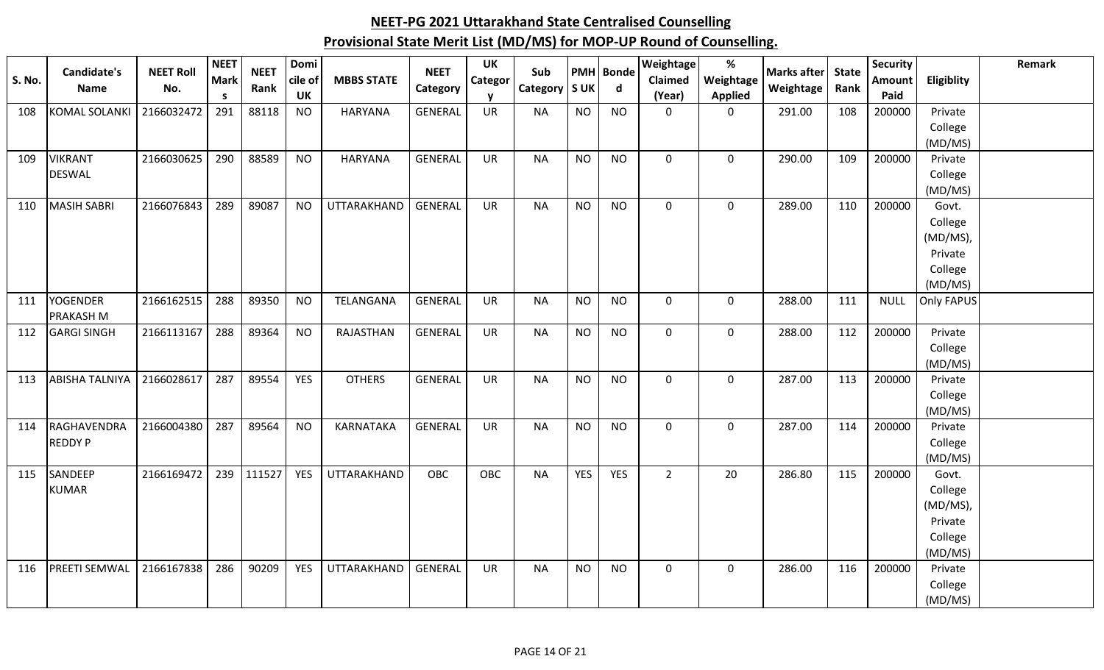| S. No. | Candidate's<br>Name   | <b>NEET Roll</b><br>No. | <b>NEET</b><br><b>Mark</b><br>S. | <b>NEET</b><br>Rank | Domi<br>cile of<br><b>UK</b> | <b>MBBS STATE</b> | <b>NEET</b><br>Category | <b>UK</b><br>Categor | Sub<br>Category S UK |            | <b>PMH</b> Bonde<br>d | <b>Weightage</b><br>Claimed<br>(Year) | %<br>Weightage<br><b>Applied</b> | <b>Marks after</b><br>Weightage | <b>State</b><br>Rank | <b>Security</b><br>Amount<br>Paid | Eligiblity         | Remark |
|--------|-----------------------|-------------------------|----------------------------------|---------------------|------------------------------|-------------------|-------------------------|----------------------|----------------------|------------|-----------------------|---------------------------------------|----------------------------------|---------------------------------|----------------------|-----------------------------------|--------------------|--------|
| 108    | <b>KOMAL SOLANKI</b>  | 2166032472              | 291                              | 88118               | <b>NO</b>                    | <b>HARYANA</b>    | <b>GENERAL</b>          | <b>UR</b>            | <b>NA</b>            | <b>NO</b>  | <b>NO</b>             | $\mathbf 0$                           | 0                                | 291.00                          | 108                  | 200000                            | Private            |        |
|        |                       |                         |                                  |                     |                              |                   |                         |                      |                      |            |                       |                                       |                                  |                                 |                      |                                   | College            |        |
|        |                       |                         |                                  |                     |                              |                   |                         |                      |                      |            |                       |                                       |                                  |                                 |                      |                                   | (MD/MS)            |        |
| 109    | <b>VIKRANT</b>        | 2166030625              | 290                              | 88589               | <b>NO</b>                    | <b>HARYANA</b>    | <b>GENERAL</b>          | <b>UR</b>            | <b>NA</b>            | <b>NO</b>  | <b>NO</b>             | $\mathbf 0$                           | 0                                | 290.00                          | 109                  | 200000                            | Private            |        |
|        | <b>DESWAL</b>         |                         |                                  |                     |                              |                   |                         |                      |                      |            |                       |                                       |                                  |                                 |                      |                                   | College            |        |
|        |                       |                         |                                  |                     |                              |                   |                         |                      |                      |            |                       |                                       |                                  |                                 |                      |                                   | (MD/MS)            |        |
| 110    | <b>MASIH SABRI</b>    | 2166076843              | 289                              | 89087               | <b>NO</b>                    | UTTARAKHAND       | <b>GENERAL</b>          | <b>UR</b>            | <b>NA</b>            | <b>NO</b>  | <b>NO</b>             | $\mathbf 0$                           | 0                                | 289.00                          | 110                  | 200000                            | Govt.              |        |
|        |                       |                         |                                  |                     |                              |                   |                         |                      |                      |            |                       |                                       |                                  |                                 |                      |                                   | College            |        |
|        |                       |                         |                                  |                     |                              |                   |                         |                      |                      |            |                       |                                       |                                  |                                 |                      |                                   | $(MD/MS)$ ,        |        |
|        |                       |                         |                                  |                     |                              |                   |                         |                      |                      |            |                       |                                       |                                  |                                 |                      |                                   | Private            |        |
|        |                       |                         |                                  |                     |                              |                   |                         |                      |                      |            |                       |                                       |                                  |                                 |                      |                                   | College            |        |
|        |                       |                         |                                  |                     |                              |                   |                         |                      |                      |            |                       |                                       |                                  |                                 |                      |                                   | (MD/MS)            |        |
| 111    | <b>YOGENDER</b>       | 2166162515              | 288                              | 89350               | <b>NO</b>                    | TELANGANA         | <b>GENERAL</b>          | <b>UR</b>            | <b>NA</b>            | <b>NO</b>  | <b>NO</b>             | $\mathbf 0$                           | $\mathbf 0$                      | 288.00                          | 111                  | <b>NULL</b>                       | Only FAPUS         |        |
|        | PRAKASH M             |                         |                                  |                     |                              |                   |                         |                      |                      |            |                       |                                       |                                  |                                 |                      |                                   |                    |        |
| 112    | <b>GARGI SINGH</b>    | 2166113167              | 288                              | 89364               | <b>NO</b>                    | RAJASTHAN         | <b>GENERAL</b>          | <b>UR</b>            | <b>NA</b>            | <b>NO</b>  | <b>NO</b>             | $\mathbf 0$                           | 0                                | 288.00                          | 112                  | 200000                            | Private            |        |
|        |                       |                         |                                  |                     |                              |                   |                         |                      |                      |            |                       |                                       |                                  |                                 |                      |                                   | College            |        |
| 113    | <b>ABISHA TALNIYA</b> | 2166028617              | 287                              | 89554               | <b>YES</b>                   | <b>OTHERS</b>     | <b>GENERAL</b>          | <b>UR</b>            | <b>NA</b>            | <b>NO</b>  | <b>NO</b>             | $\mathbf 0$                           | 0                                | 287.00                          | 113                  | 200000                            | (MD/MS)<br>Private |        |
|        |                       |                         |                                  |                     |                              |                   |                         |                      |                      |            |                       |                                       |                                  |                                 |                      |                                   | College            |        |
|        |                       |                         |                                  |                     |                              |                   |                         |                      |                      |            |                       |                                       |                                  |                                 |                      |                                   | (MD/MS)            |        |
| 114    | RAGHAVENDRA           | 2166004380              | 287                              | 89564               | <b>NO</b>                    | KARNATAKA         | <b>GENERAL</b>          | <b>UR</b>            | <b>NA</b>            | <b>NO</b>  | <b>NO</b>             | $\mathbf 0$                           | 0                                | 287.00                          | 114                  | 200000                            | Private            |        |
|        | <b>REDDY P</b>        |                         |                                  |                     |                              |                   |                         |                      |                      |            |                       |                                       |                                  |                                 |                      |                                   | College            |        |
|        |                       |                         |                                  |                     |                              |                   |                         |                      |                      |            |                       |                                       |                                  |                                 |                      |                                   | (MD/MS)            |        |
| 115    | SANDEEP               | 2166169472              | 239                              | 111527              | <b>YES</b>                   | UTTARAKHAND       | <b>OBC</b>              | <b>OBC</b>           | <b>NA</b>            | <b>YES</b> | <b>YES</b>            | $\overline{2}$                        | 20                               | 286.80                          | 115                  | 200000                            | Govt.              |        |
|        | <b>KUMAR</b>          |                         |                                  |                     |                              |                   |                         |                      |                      |            |                       |                                       |                                  |                                 |                      |                                   | College            |        |
|        |                       |                         |                                  |                     |                              |                   |                         |                      |                      |            |                       |                                       |                                  |                                 |                      |                                   | (MD/MS),           |        |
|        |                       |                         |                                  |                     |                              |                   |                         |                      |                      |            |                       |                                       |                                  |                                 |                      |                                   | Private            |        |
|        |                       |                         |                                  |                     |                              |                   |                         |                      |                      |            |                       |                                       |                                  |                                 |                      |                                   | College            |        |
|        |                       |                         |                                  |                     |                              |                   |                         |                      |                      |            |                       |                                       |                                  |                                 |                      |                                   | (MD/MS)            |        |
| 116    | <b>PREETI SEMWAL</b>  | 2166167838              | 286                              | 90209               | <b>YES</b>                   | UTTARAKHAND       | GENERAL                 | UR                   | <b>NA</b>            | <b>NO</b>  | <b>NO</b>             | 0                                     | 0                                | 286.00                          | 116                  | 200000                            | Private            |        |
|        |                       |                         |                                  |                     |                              |                   |                         |                      |                      |            |                       |                                       |                                  |                                 |                      |                                   | College            |        |
|        |                       |                         |                                  |                     |                              |                   |                         |                      |                      |            |                       |                                       |                                  |                                 |                      |                                   | (MD/MS)            |        |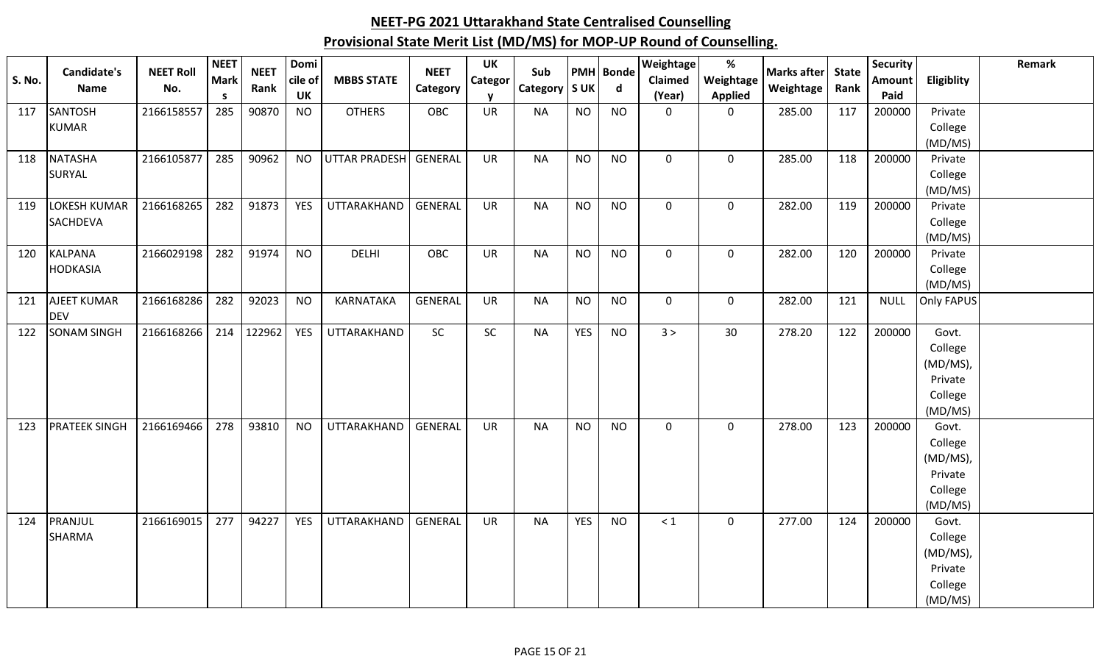| <b>S. No.</b> | Candidate's<br>Name              | <b>NEET Roll</b><br>No. | <b>NEET</b><br><b>Mark</b><br><b>S</b> | <b>NEET</b><br>Rank | Domi<br>cile of<br><b>UK</b> | <b>MBBS STATE</b>    | <b>NEET</b><br>Category | <b>UK</b><br>Categor | Sub<br>Category   S UK |            | <b>PMH</b> Bonde<br>d | Weightage<br><b>Claimed</b><br>(Year) | $\%$<br>Weightage<br><b>Applied</b> | <b>Marks after</b><br>Weightage | <b>State</b><br>Rank | <b>Security</b><br>Amount<br>Paid | Eligiblity        | Remark |
|---------------|----------------------------------|-------------------------|----------------------------------------|---------------------|------------------------------|----------------------|-------------------------|----------------------|------------------------|------------|-----------------------|---------------------------------------|-------------------------------------|---------------------------------|----------------------|-----------------------------------|-------------------|--------|
| 117           | <b>SANTOSH</b>                   | 2166158557              | 285                                    | 90870               | <b>NO</b>                    | <b>OTHERS</b>        | OBC                     | UR                   | <b>NA</b>              | <b>NO</b>  | <b>NO</b>             | $\mathbf 0$                           | 0                                   | 285.00                          | 117                  | 200000                            | Private           |        |
|               | <b>KUMAR</b>                     |                         |                                        |                     |                              |                      |                         |                      |                        |            |                       |                                       |                                     |                                 |                      |                                   | College           |        |
|               |                                  |                         |                                        |                     |                              |                      |                         |                      |                        |            |                       |                                       |                                     |                                 |                      |                                   | (MD/MS)           |        |
| 118           | <b>NATASHA</b>                   | 2166105877              | 285                                    | 90962               | <b>NO</b>                    | <b>UTTAR PRADESH</b> | <b>GENERAL</b>          | <b>UR</b>            | <b>NA</b>              | <b>NO</b>  | <b>NO</b>             | $\Omega$                              | $\mathbf 0$                         | 285.00                          | 118                  | 200000                            | Private           |        |
|               | SURYAL                           |                         |                                        |                     |                              |                      |                         |                      |                        |            |                       |                                       |                                     |                                 |                      |                                   | College           |        |
|               |                                  |                         |                                        |                     |                              |                      |                         |                      |                        |            |                       |                                       |                                     |                                 |                      |                                   | (MD/MS)           |        |
| 119           | <b>LOKESH KUMAR</b>              | 2166168265              | 282                                    | 91873               | YES                          | UTTARAKHAND          | <b>GENERAL</b>          | <b>UR</b>            | <b>NA</b>              | <b>NO</b>  | <b>NO</b>             | $\mathbf 0$                           | $\mathbf 0$                         | 282.00                          | 119                  | 200000                            | Private           |        |
|               | SACHDEVA                         |                         |                                        |                     |                              |                      |                         |                      |                        |            |                       |                                       |                                     |                                 |                      |                                   | College           |        |
|               |                                  |                         |                                        |                     |                              |                      |                         |                      |                        |            |                       |                                       |                                     |                                 |                      |                                   | (MD/MS)           |        |
| 120           | <b>KALPANA</b>                   | 2166029198              | 282                                    | 91974               | <b>NO</b>                    | <b>DELHI</b>         | OBC                     | UR                   | <b>NA</b>              | <b>NO</b>  | <b>NO</b>             | $\mathbf 0$                           | $\mathbf 0$                         | 282.00                          | 120                  | 200000                            | Private           |        |
|               | <b>HODKASIA</b>                  |                         |                                        |                     |                              |                      |                         |                      |                        |            |                       |                                       |                                     |                                 |                      |                                   | College           |        |
|               |                                  |                         |                                        |                     |                              |                      |                         |                      |                        |            |                       |                                       |                                     |                                 |                      |                                   | (MD/MS)           |        |
| 121           | <b>AJEET KUMAR</b>               | 2166168286              | 282                                    | 92023               | <b>NO</b>                    | KARNATAKA            | <b>GENERAL</b>          | UR                   | <b>NA</b>              | <b>NO</b>  | <b>NO</b>             | $\mathbf 0$                           | $\mathbf 0$                         | 282.00                          | 121                  | <b>NULL</b>                       | <b>Only FAPUS</b> |        |
| 122           | <b>DEV</b><br><b>SONAM SINGH</b> | 2166168266              | 214                                    | 122962              | YES                          | UTTARAKHAND          | SC                      | <b>SC</b>            | <b>NA</b>              | <b>YES</b> | <b>NO</b>             | 3 >                                   | 30                                  | 278.20                          | 122                  | 200000                            | Govt.             |        |
|               |                                  |                         |                                        |                     |                              |                      |                         |                      |                        |            |                       |                                       |                                     |                                 |                      |                                   | College           |        |
|               |                                  |                         |                                        |                     |                              |                      |                         |                      |                        |            |                       |                                       |                                     |                                 |                      |                                   | (MD/MS),          |        |
|               |                                  |                         |                                        |                     |                              |                      |                         |                      |                        |            |                       |                                       |                                     |                                 |                      |                                   | Private           |        |
|               |                                  |                         |                                        |                     |                              |                      |                         |                      |                        |            |                       |                                       |                                     |                                 |                      |                                   | College           |        |
|               |                                  |                         |                                        |                     |                              |                      |                         |                      |                        |            |                       |                                       |                                     |                                 |                      |                                   | (MD/MS)           |        |
| 123           | <b>PRATEEK SINGH</b>             | 2166169466              | 278                                    | 93810               | <b>NO</b>                    | UTTARAKHAND          | GENERAL                 | <b>UR</b>            | <b>NA</b>              | <b>NO</b>  | <b>NO</b>             | $\mathbf 0$                           | $\mathbf 0$                         | 278.00                          | 123                  | 200000                            | Govt.             |        |
|               |                                  |                         |                                        |                     |                              |                      |                         |                      |                        |            |                       |                                       |                                     |                                 |                      |                                   | College           |        |
|               |                                  |                         |                                        |                     |                              |                      |                         |                      |                        |            |                       |                                       |                                     |                                 |                      |                                   | (MD/MS),          |        |
|               |                                  |                         |                                        |                     |                              |                      |                         |                      |                        |            |                       |                                       |                                     |                                 |                      |                                   | Private           |        |
|               |                                  |                         |                                        |                     |                              |                      |                         |                      |                        |            |                       |                                       |                                     |                                 |                      |                                   | College           |        |
|               |                                  |                         |                                        |                     |                              |                      |                         |                      |                        |            |                       |                                       |                                     |                                 |                      |                                   | (MD/MS)           |        |
| 124           | PRANJUL                          | 2166169015              | 277                                    | 94227               | <b>YES</b>                   | UTTARAKHAND          | <b>GENERAL</b>          | <b>UR</b>            | <b>NA</b>              | <b>YES</b> | <b>NO</b>             | $\leq 1$                              | $\mathbf 0$                         | 277.00                          | 124                  | 200000                            | Govt.             |        |
|               | <b>SHARMA</b>                    |                         |                                        |                     |                              |                      |                         |                      |                        |            |                       |                                       |                                     |                                 |                      |                                   | College           |        |
|               |                                  |                         |                                        |                     |                              |                      |                         |                      |                        |            |                       |                                       |                                     |                                 |                      |                                   | (MD/MS),          |        |
|               |                                  |                         |                                        |                     |                              |                      |                         |                      |                        |            |                       |                                       |                                     |                                 |                      |                                   | Private           |        |
|               |                                  |                         |                                        |                     |                              |                      |                         |                      |                        |            |                       |                                       |                                     |                                 |                      |                                   | College           |        |
|               |                                  |                         |                                        |                     |                              |                      |                         |                      |                        |            |                       |                                       |                                     |                                 |                      |                                   | (MD/MS)           |        |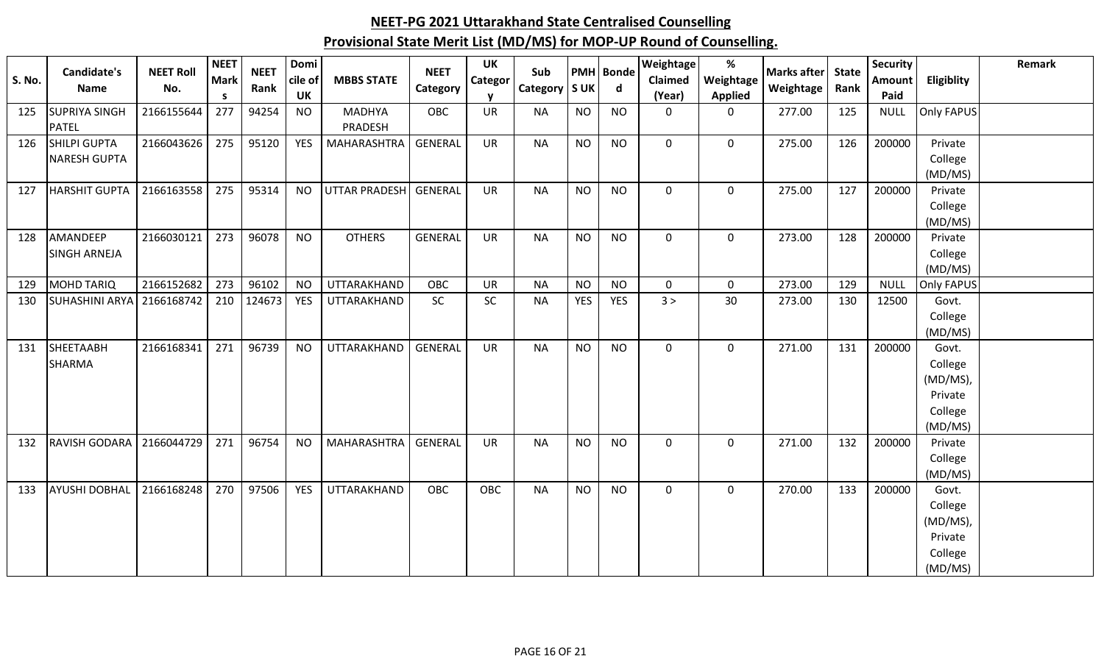| <b>S. No.</b> | Candidate's<br>Name         | <b>NEET Roll</b><br>No. | <b>NEET</b><br><b>Mark</b> | <b>NEET</b><br>Rank | Domi<br>cile of | <b>MBBS STATE</b>    | <b>NEET</b><br>Category | UK<br><b>Categor</b> | Sub<br>Category   S UK |            | <b>PMH</b> Bonde<br>$\mathsf{d}$ | Weightage<br>Claimed | %<br>Weightage | Marks after State<br>Weightage | Rank | <b>Security</b><br><b>Amount</b> | Eligiblity        | Remark |
|---------------|-----------------------------|-------------------------|----------------------------|---------------------|-----------------|----------------------|-------------------------|----------------------|------------------------|------------|----------------------------------|----------------------|----------------|--------------------------------|------|----------------------------------|-------------------|--------|
|               |                             |                         | <b>S</b>                   |                     | UK              |                      |                         |                      |                        |            |                                  | (Year)               | <b>Applied</b> |                                |      | Paid                             |                   |        |
| 125           | <b>SUPRIYA SINGH</b>        | 2166155644              | 277                        | 94254               | <b>NO</b>       | <b>MADHYA</b>        | <b>OBC</b>              | <b>UR</b>            | <b>NA</b>              | <b>NO</b>  | <b>NO</b>                        | $\mathbf 0$          | $\mathbf 0$    | 277.00                         | 125  | <b>NULL</b>                      | <b>Only FAPUS</b> |        |
|               | <b>PATEL</b>                |                         |                            |                     |                 | PRADESH              |                         |                      |                        |            |                                  |                      |                |                                |      |                                  |                   |        |
| 126           | <b>SHILPI GUPTA</b>         | 2166043626              | 275                        | 95120               | <b>YES</b>      | MAHARASHTRA          | GENERAL                 | <b>UR</b>            | <b>NA</b>              | <b>NO</b>  | <b>NO</b>                        | $\mathbf 0$          | $\mathbf 0$    | 275.00                         | 126  | 200000                           | Private           |        |
|               | <b>NARESH GUPTA</b>         |                         |                            |                     |                 |                      |                         |                      |                        |            |                                  |                      |                |                                |      |                                  | College           |        |
|               |                             |                         |                            |                     |                 |                      |                         |                      |                        |            |                                  |                      |                |                                |      |                                  | (MD/MS)           |        |
| 127           | HARSHIT GUPTA   2166163558  |                         | 275                        | 95314               | <b>NO</b>       | <b>UTTAR PRADESH</b> | GENERAL                 | <b>UR</b>            | <b>NA</b>              | <b>NO</b>  | <b>NO</b>                        | $\mathbf 0$          | $\mathbf 0$    | 275.00                         | 127  | 200000                           | Private           |        |
|               |                             |                         |                            |                     |                 |                      |                         |                      |                        |            |                                  |                      |                |                                |      |                                  | College           |        |
|               |                             |                         |                            |                     |                 |                      |                         |                      |                        |            |                                  |                      |                |                                |      |                                  | (MD/MS)           |        |
| 128           | AMANDEEP                    | 2166030121              | 273                        | 96078               | <b>NO</b>       | <b>OTHERS</b>        | <b>GENERAL</b>          | <b>UR</b>            | <b>NA</b>              | <b>NO</b>  | <b>NO</b>                        | 0                    | $\mathbf 0$    | 273.00                         | 128  | 200000                           | Private           |        |
|               | <b>SINGH ARNEJA</b>         |                         |                            |                     |                 |                      |                         |                      |                        |            |                                  |                      |                |                                |      |                                  | College           |        |
|               |                             |                         |                            |                     |                 |                      |                         |                      |                        |            |                                  |                      |                |                                |      |                                  | (MD/MS)           |        |
| 129           | <b>MOHD TARIQ</b>           | 2166152682              | 273                        | 96102               | <b>NO</b>       | <b>UTTARAKHAND</b>   | OBC                     | <b>UR</b>            | <b>NA</b>              | <b>NO</b>  | <b>NO</b>                        | $\mathbf 0$          | $\mathbf 0$    | 273.00                         | 129  | <b>NULL</b>                      | <b>Only FAPUS</b> |        |
| 130           | SUHASHINI ARYA   2166168742 |                         | 210                        | 124673              | <b>YES</b>      | UTTARAKHAND          | <b>SC</b>               | <b>SC</b>            | <b>NA</b>              | <b>YES</b> | <b>YES</b>                       | 3 >                  | 30             | 273.00                         | 130  | 12500                            | Govt.             |        |
|               |                             |                         |                            |                     |                 |                      |                         |                      |                        |            |                                  |                      |                |                                |      |                                  | College           |        |
|               |                             |                         |                            |                     |                 |                      |                         |                      |                        |            |                                  |                      |                |                                |      |                                  | (MD/MS)           |        |
| 131           | SHEETAABH                   | 2166168341              | 271                        | 96739               | <b>NO</b>       | UTTARAKHAND          | GENERAL                 | <b>UR</b>            | <b>NA</b>              | <b>NO</b>  | <b>NO</b>                        | $\mathbf 0$          | $\mathbf 0$    | 271.00                         | 131  | 200000                           | Govt.             |        |
|               | <b>SHARMA</b>               |                         |                            |                     |                 |                      |                         |                      |                        |            |                                  |                      |                |                                |      |                                  | College           |        |
|               |                             |                         |                            |                     |                 |                      |                         |                      |                        |            |                                  |                      |                |                                |      |                                  | (MD/MS),          |        |
|               |                             |                         |                            |                     |                 |                      |                         |                      |                        |            |                                  |                      |                |                                |      |                                  | Private           |        |
|               |                             |                         |                            |                     |                 |                      |                         |                      |                        |            |                                  |                      |                |                                |      |                                  | College           |        |
|               |                             |                         |                            |                     |                 |                      |                         |                      |                        |            |                                  |                      |                |                                |      |                                  | (MD/MS)           |        |
| 132           | RAVISH GODARA 2166044729    |                         | 271                        | 96754               | <b>NO</b>       | <b>MAHARASHTRA</b>   | GENERAL                 | <b>UR</b>            | <b>NA</b>              | <b>NO</b>  | <b>NO</b>                        | $\mathbf 0$          | $\mathbf 0$    | 271.00                         | 132  | 200000                           | Private           |        |
|               |                             |                         |                            |                     |                 |                      |                         |                      |                        |            |                                  |                      |                |                                |      |                                  | College           |        |
|               |                             |                         |                            |                     |                 |                      |                         |                      |                        |            |                                  |                      |                |                                |      |                                  | (MD/MS)           |        |
| 133           | AYUSHI DOBHAL               | 2166168248              | 270                        | 97506               | <b>YES</b>      | UTTARAKHAND          | <b>OBC</b>              | OBC                  | <b>NA</b>              | <b>NO</b>  | <b>NO</b>                        | $\mathbf{0}$         | $\overline{0}$ | 270.00                         | 133  | 200000                           | Govt.             |        |
|               |                             |                         |                            |                     |                 |                      |                         |                      |                        |            |                                  |                      |                |                                |      |                                  | College           |        |
|               |                             |                         |                            |                     |                 |                      |                         |                      |                        |            |                                  |                      |                |                                |      |                                  | (MD/MS),          |        |
|               |                             |                         |                            |                     |                 |                      |                         |                      |                        |            |                                  |                      |                |                                |      |                                  | Private           |        |
|               |                             |                         |                            |                     |                 |                      |                         |                      |                        |            |                                  |                      |                |                                |      |                                  | College           |        |
|               |                             |                         |                            |                     |                 |                      |                         |                      |                        |            |                                  |                      |                |                                |      |                                  | (MD/MS)           |        |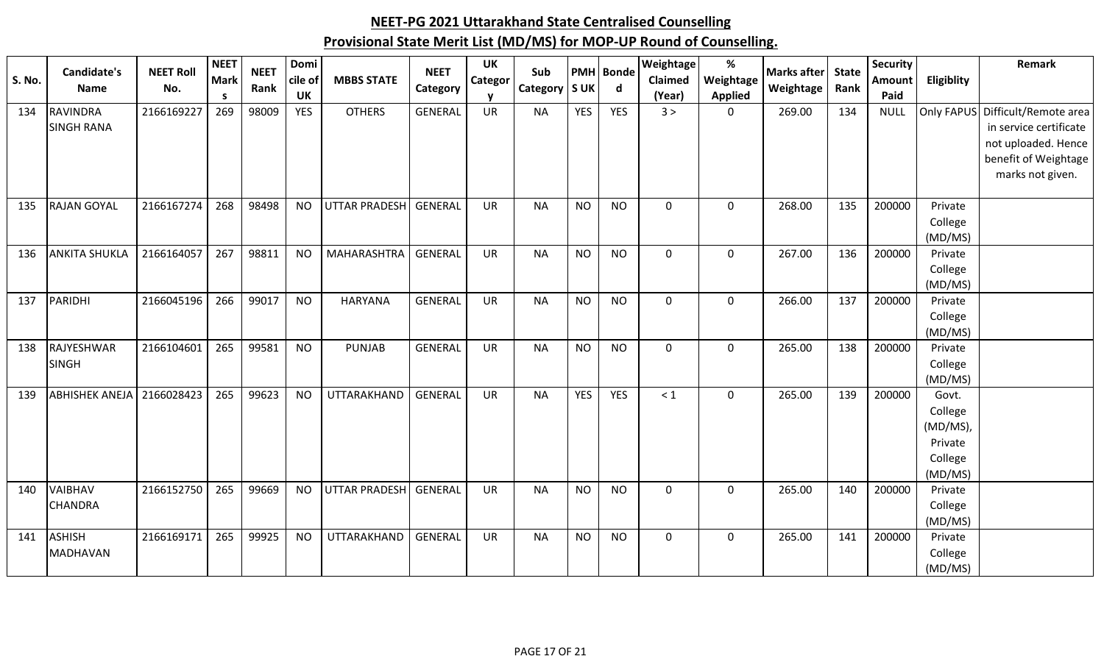| S. No. | <b>Candidate's</b>        | <b>NEET Roll</b> | <b>NEET</b><br><b>Mark</b> | <b>NEET</b> | Domi<br>cile of | <b>MBBS STATE</b>    | <b>NEET</b>    | UK<br>Categor | Sub             |            | <b>PMH</b> Bonde<br>$\mathsf{d}$ | Weightage<br>Claimed | %<br>Weightage | <b>Marks after</b> | <b>State</b><br>Rank | <b>Security</b><br>Amount | Eligiblity         | Remark                 |
|--------|---------------------------|------------------|----------------------------|-------------|-----------------|----------------------|----------------|---------------|-----------------|------------|----------------------------------|----------------------|----------------|--------------------|----------------------|---------------------------|--------------------|------------------------|
|        | Name                      | No.              | <b>S</b>                   | Rank        | <b>UK</b>       |                      | Category       |               | Category   S UK |            |                                  | (Year)               | <b>Applied</b> | Weightage          |                      | Paid                      |                    |                        |
| 134    | <b>RAVINDRA</b>           | 2166169227       | 269                        | 98009       | <b>YES</b>      | <b>OTHERS</b>        | <b>GENERAL</b> | UR            | <b>NA</b>       | <b>YES</b> | <b>YES</b>                       | 3 >                  | $\mathbf 0$    | 269.00             | 134                  | <b>NULL</b>               | Only FAPUS         | Difficult/Remote area  |
|        | <b>SINGH RANA</b>         |                  |                            |             |                 |                      |                |               |                 |            |                                  |                      |                |                    |                      |                           |                    | in service certificate |
|        |                           |                  |                            |             |                 |                      |                |               |                 |            |                                  |                      |                |                    |                      |                           |                    | not uploaded. Hence    |
|        |                           |                  |                            |             |                 |                      |                |               |                 |            |                                  |                      |                |                    |                      |                           |                    | benefit of Weightage   |
|        |                           |                  |                            |             |                 |                      |                |               |                 |            |                                  |                      |                |                    |                      |                           |                    | marks not given.       |
| 135    | <b>RAJAN GOYAL</b>        | 2166167274       | 268                        | 98498       | <b>NO</b>       | UTTAR PRADESH        | GENERAL        | <b>UR</b>     | <b>NA</b>       | <b>NO</b>  | <b>NO</b>                        | $\mathbf 0$          | $\mathbf 0$    | 268.00             | 135                  | 200000                    | Private            |                        |
|        |                           |                  |                            |             |                 |                      |                |               |                 |            |                                  |                      |                |                    |                      |                           | College            |                        |
|        |                           |                  |                            |             |                 |                      |                |               |                 |            |                                  |                      |                |                    |                      |                           | (MD/MS)            |                        |
| 136    | <b>ANKITA SHUKLA</b>      | 2166164057       | 267                        | 98811       | <b>NO</b>       | <b>MAHARASHTRA</b>   | <b>GENERAL</b> | <b>UR</b>     | <b>NA</b>       | <b>NO</b>  | <b>NO</b>                        | $\mathbf 0$          | $\mathbf 0$    | 267.00             | 136                  | 200000                    | Private            |                        |
|        |                           |                  |                            |             |                 |                      |                |               |                 |            |                                  |                      |                |                    |                      |                           | College            |                        |
| 137    | PARIDHI                   | 2166045196       | 266                        | 99017       | <b>NO</b>       | <b>HARYANA</b>       | <b>GENERAL</b> | UR            | <b>NA</b>       | <b>NO</b>  | <b>NO</b>                        | $\mathbf 0$          | $\mathbf 0$    | 266.00             | 137                  | 200000                    | (MD/MS)<br>Private |                        |
|        |                           |                  |                            |             |                 |                      |                |               |                 |            |                                  |                      |                |                    |                      |                           | College            |                        |
|        |                           |                  |                            |             |                 |                      |                |               |                 |            |                                  |                      |                |                    |                      |                           | (MD/MS)            |                        |
| 138    | RAJYESHWAR                | 2166104601       | 265                        | 99581       | <b>NO</b>       | <b>PUNJAB</b>        | <b>GENERAL</b> | <b>UR</b>     | <b>NA</b>       | <b>NO</b>  | <b>NO</b>                        | $\mathbf 0$          | $\mathbf 0$    | 265.00             | 138                  | 200000                    | Private            |                        |
|        | <b>SINGH</b>              |                  |                            |             |                 |                      |                |               |                 |            |                                  |                      |                |                    |                      |                           | College            |                        |
|        |                           |                  |                            |             |                 |                      |                |               |                 |            |                                  |                      |                |                    |                      |                           | (MD/MS)            |                        |
| 139    | <b>ABHISHEK ANEJA</b>     | 2166028423       | 265                        | 99623       | <b>NO</b>       | <b>UTTARAKHAND</b>   | <b>GENERAL</b> | <b>UR</b>     | <b>NA</b>       | <b>YES</b> | <b>YES</b>                       | $\leq 1$             | $\mathbf 0$    | 265.00             | 139                  | 200000                    | Govt.              |                        |
|        |                           |                  |                            |             |                 |                      |                |               |                 |            |                                  |                      |                |                    |                      |                           | College            |                        |
|        |                           |                  |                            |             |                 |                      |                |               |                 |            |                                  |                      |                |                    |                      |                           | (MD/MS),           |                        |
|        |                           |                  |                            |             |                 |                      |                |               |                 |            |                                  |                      |                |                    |                      |                           | Private            |                        |
|        |                           |                  |                            |             |                 |                      |                |               |                 |            |                                  |                      |                |                    |                      |                           | College            |                        |
|        |                           |                  |                            |             |                 |                      |                |               |                 |            |                                  |                      |                |                    |                      |                           | (MD/MS)            |                        |
| 140    | VAIBHAV<br><b>CHANDRA</b> | 2166152750       | 265                        | 99669       | <b>NO</b>       | <b>UTTAR PRADESH</b> | GENERAL        | <b>UR</b>     | <b>NA</b>       | <b>NO</b>  | <b>NO</b>                        | $\mathbf 0$          | $\mathbf 0$    | 265.00             | 140                  | 200000                    | Private            |                        |
|        |                           |                  |                            |             |                 |                      |                |               |                 |            |                                  |                      |                |                    |                      |                           | College<br>(MD/MS) |                        |
| 141    | <b>ASHISH</b>             | 2166169171       | 265                        | 99925       | <b>NO</b>       | UTTARAKHAND          | <b>GENERAL</b> | <b>UR</b>     | <b>NA</b>       | <b>NO</b>  | <b>NO</b>                        | $\mathbf 0$          | $\mathbf 0$    | 265.00             | 141                  | 200000                    | Private            |                        |
|        | <b>MADHAVAN</b>           |                  |                            |             |                 |                      |                |               |                 |            |                                  |                      |                |                    |                      |                           | College            |                        |
|        |                           |                  |                            |             |                 |                      |                |               |                 |            |                                  |                      |                |                    |                      |                           | (MD/MS)            |                        |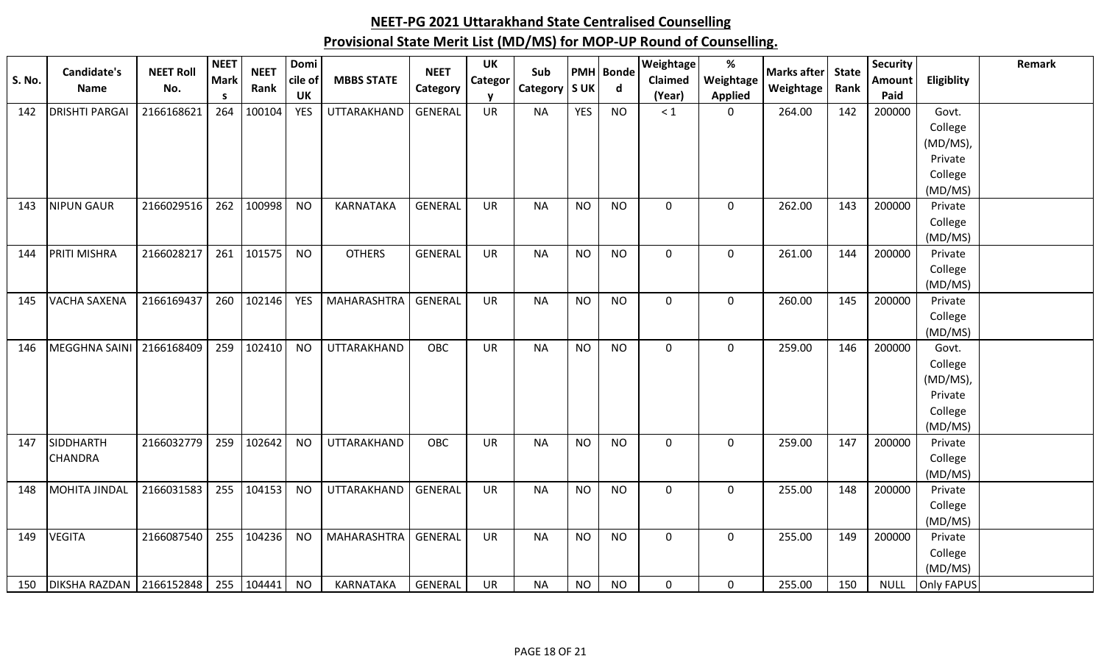|               | <b>Candidate's</b>         | <b>NEET Roll</b> | <b>NEET</b> | <b>NEET</b> | Domi       |                    | <b>NEET</b>    | UK        | Sub             |            | <b>PMH</b> Bonde | Weightage   | $\%$           | <b>Marks after</b> | <b>State</b> | <b>Security</b> |                    | Remark |
|---------------|----------------------------|------------------|-------------|-------------|------------|--------------------|----------------|-----------|-----------------|------------|------------------|-------------|----------------|--------------------|--------------|-----------------|--------------------|--------|
| <b>S. No.</b> | <b>Name</b>                | No.              | <b>Mark</b> | Rank        | cile of    | <b>MBBS STATE</b>  | Category       | Categor   | Category   S UK |            | $\mathsf{d}$     | Claimed     | Weightage      | Weightage          | Rank         | Amount          | Eligiblity         |        |
|               |                            |                  | <b>S</b>    |             | <b>UK</b>  |                    |                |           |                 |            |                  | (Year)      | <b>Applied</b> |                    |              | Paid            |                    |        |
| 142           | <b>DRISHTI PARGAI</b>      | 2166168621       | 264         | 100104      | <b>YES</b> | <b>UTTARAKHAND</b> | <b>GENERAL</b> | <b>UR</b> | <b>NA</b>       | <b>YES</b> | <b>NO</b>        | $\leq 1$    | $\mathbf 0$    | 264.00             | 142          | 200000          | Govt.              |        |
|               |                            |                  |             |             |            |                    |                |           |                 |            |                  |             |                |                    |              |                 | College            |        |
|               |                            |                  |             |             |            |                    |                |           |                 |            |                  |             |                |                    |              |                 | (MD/MS)            |        |
|               |                            |                  |             |             |            |                    |                |           |                 |            |                  |             |                |                    |              |                 | Private            |        |
|               |                            |                  |             |             |            |                    |                |           |                 |            |                  |             |                |                    |              |                 | College            |        |
|               |                            |                  |             |             |            |                    |                |           |                 |            |                  |             |                |                    |              |                 | (MD/MS)            |        |
| 143           | <b>NIPUN GAUR</b>          | 2166029516       | 262         | 100998      | <b>NO</b>  | KARNATAKA          | <b>GENERAL</b> | <b>UR</b> | <b>NA</b>       | <b>NO</b>  | <b>NO</b>        | $\mathbf 0$ | $\mathbf 0$    | 262.00             | 143          | 200000          | Private            |        |
|               |                            |                  |             |             |            |                    |                |           |                 |            |                  |             |                |                    |              |                 | College            |        |
|               |                            |                  |             |             |            |                    |                |           |                 |            |                  |             |                |                    |              |                 | (MD/MS)            |        |
| 144           | PRITI MISHRA               | 2166028217       | 261         | 101575      | <b>NO</b>  | <b>OTHERS</b>      | <b>GENERAL</b> | UR        | <b>NA</b>       | <b>NO</b>  | <b>NO</b>        | $\mathbf 0$ | $\mathbf 0$    | 261.00             | 144          | 200000          | Private            |        |
|               |                            |                  |             |             |            |                    |                |           |                 |            |                  |             |                |                    |              |                 | College            |        |
|               |                            |                  |             |             |            |                    |                |           |                 |            |                  |             |                |                    |              |                 | (MD/MS)            |        |
| 145           | <b>VACHA SAXENA</b>        | 2166169437       | 260         | 102146      | <b>YES</b> | MAHARASHTRA        | GENERAL        | <b>UR</b> | <b>NA</b>       | <b>NO</b>  | <b>NO</b>        | $\mathbf 0$ | $\mathbf 0$    | 260.00             | 145          | 200000          | Private            |        |
|               |                            |                  |             |             |            |                    |                |           |                 |            |                  |             |                |                    |              |                 | College            |        |
|               |                            |                  |             |             |            |                    |                |           |                 |            |                  |             |                |                    |              |                 | (MD/MS)            |        |
| 146           | MEGGHNA SAINI              | 2166168409       | 259         | 102410      | <b>NO</b>  | UTTARAKHAND        | <b>OBC</b>     | <b>UR</b> | <b>NA</b>       | <b>NO</b>  | <b>NO</b>        | $\mathbf 0$ | $\mathbf 0$    | 259.00             | 146          | 200000          | Govt.              |        |
|               |                            |                  |             |             |            |                    |                |           |                 |            |                  |             |                |                    |              |                 | College            |        |
|               |                            |                  |             |             |            |                    |                |           |                 |            |                  |             |                |                    |              |                 | (MD/MS)            |        |
|               |                            |                  |             |             |            |                    |                |           |                 |            |                  |             |                |                    |              |                 | Private            |        |
|               |                            |                  |             |             |            |                    |                |           |                 |            |                  |             |                |                    |              |                 | College            |        |
|               | SIDDHARTH                  |                  |             |             |            |                    |                |           |                 |            |                  |             |                |                    |              |                 | (MD/MS)            |        |
| 147           |                            | 2166032779       | 259         | 102642      | <b>NO</b>  | UTTARAKHAND        | OBC            | UR        | <b>NA</b>       | <b>NO</b>  | <b>NO</b>        | $\mathbf 0$ | $\mathbf 0$    | 259.00             | 147          | 200000          | Private            |        |
|               | <b>CHANDRA</b>             |                  |             |             |            |                    |                |           |                 |            |                  |             |                |                    |              |                 | College<br>(MD/MS) |        |
| 148           | <b>MOHITA JINDAL</b>       | 2166031583       | 255         | 104153      | <b>NO</b>  | UTTARAKHAND        | GENERAL        | <b>UR</b> | <b>NA</b>       | <b>NO</b>  | <b>NO</b>        | $\mathbf 0$ | $\mathbf 0$    | 255.00             | 148          | 200000          | Private            |        |
|               |                            |                  |             |             |            |                    |                |           |                 |            |                  |             |                |                    |              |                 |                    |        |
|               |                            |                  |             |             |            |                    |                |           |                 |            |                  |             |                |                    |              |                 | College<br>(MD/MS) |        |
| 149           | <b>VEGITA</b>              | 2166087540       | 255         | 104236      | <b>NO</b>  | <b>MAHARASHTRA</b> | GENERAL        | UR        | <b>NA</b>       | <b>NO</b>  | <b>NO</b>        | $\mathbf 0$ | $\mathbf 0$    | 255.00             | 149          | 200000          | Private            |        |
|               |                            |                  |             |             |            |                    |                |           |                 |            |                  |             |                |                    |              |                 | College            |        |
|               |                            |                  |             |             |            |                    |                |           |                 |            |                  |             |                |                    |              |                 | (MD/MS)            |        |
| 150           | DIKSHA RAZDAN   2166152848 |                  | 255         | 104441      | <b>NO</b>  | KARNATAKA          | GENERAL        | <b>UR</b> | <b>NA</b>       | <b>NO</b>  | <b>NO</b>        | $\mathbf 0$ | $\mathbf 0$    | 255.00             | 150          | <b>NULL</b>     | Only FAPUS         |        |
|               |                            |                  |             |             |            |                    |                |           |                 |            |                  |             |                |                    |              |                 |                    |        |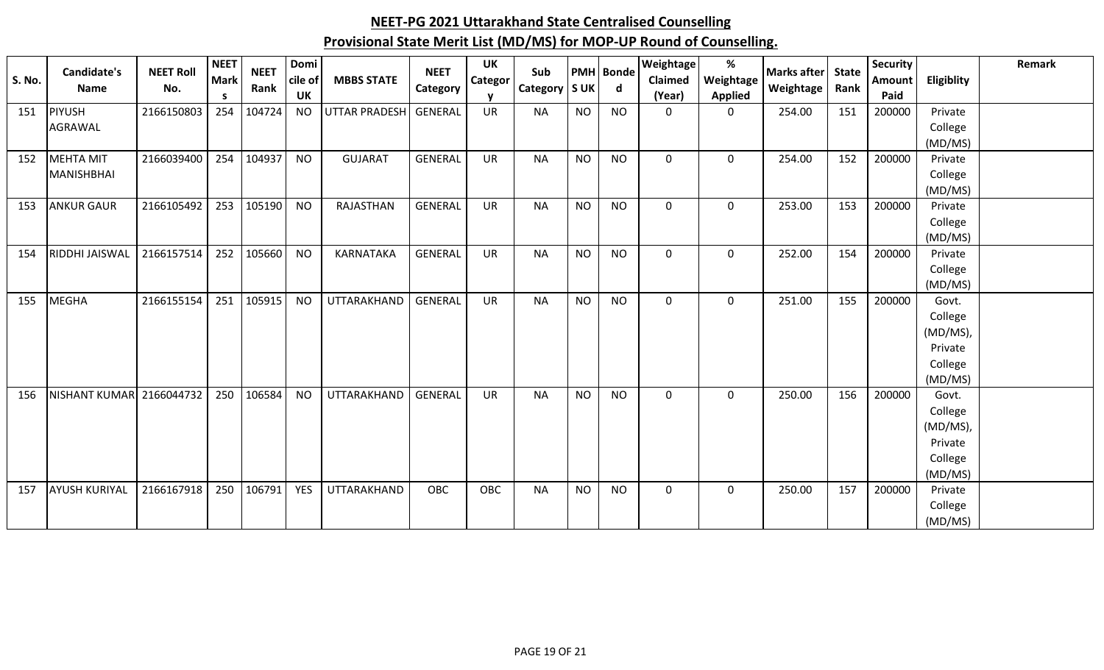| <b>S. No.</b> | <b>Candidate's</b><br><b>Name</b> | <b>NEET Roll</b><br>No. | <b>NEET</b><br><b>Mark</b><br>S. | <b>NEET</b><br>Rank | Domi<br>cile of<br><b>UK</b> | <b>MBBS STATE</b>    | <b>NEET</b><br>Category | <b>UK</b><br><b>Categor</b><br>$\mathbf v$ | Sub<br>Category   S UK |           | <b>PMH</b> Bonde<br>d | <b>Weightage</b><br>Claimed<br>(Year) | $\%$<br>Weightage<br><b>Applied</b> | <b>Marks after</b><br>Weightage | <b>State</b><br>Rank | <b>Security</b><br>Amount<br>Paid | Eligiblity         | Remark |
|---------------|-----------------------------------|-------------------------|----------------------------------|---------------------|------------------------------|----------------------|-------------------------|--------------------------------------------|------------------------|-----------|-----------------------|---------------------------------------|-------------------------------------|---------------------------------|----------------------|-----------------------------------|--------------------|--------|
| 151           | PIYUSH                            | 2166150803              | 254                              | 104724              | <b>NO</b>                    | <b>UTTAR PRADESH</b> | <b>GENERAL</b>          | <b>UR</b>                                  | <b>NA</b>              | <b>NO</b> | <b>NO</b>             | $\mathbf 0$                           | 0                                   | 254.00                          | 151                  | 200000                            | Private            |        |
|               | AGRAWAL                           |                         |                                  |                     |                              |                      |                         |                                            |                        |           |                       |                                       |                                     |                                 |                      |                                   | College            |        |
|               |                                   |                         |                                  |                     |                              |                      |                         |                                            |                        |           |                       |                                       |                                     |                                 |                      |                                   | (MD/MS)            |        |
| 152           | MEHTA MIT                         | 2166039400              | 254                              | 104937              | <b>NO</b>                    | <b>GUJARAT</b>       | <b>GENERAL</b>          | <b>UR</b>                                  | <b>NA</b>              | <b>NO</b> | <b>NO</b>             | $\Omega$                              | 0                                   | 254.00                          | 152                  | 200000                            | Private            |        |
|               | <b>MANISHBHAI</b>                 |                         |                                  |                     |                              |                      |                         |                                            |                        |           |                       |                                       |                                     |                                 |                      |                                   | College<br>(MD/MS) |        |
| 153           | <b>ANKUR GAUR</b>                 | 2166105492              | 253                              | 105190              | <b>NO</b>                    | RAJASTHAN            | GENERAL                 | <b>UR</b>                                  | <b>NA</b>              | <b>NO</b> | <b>NO</b>             | $\mathbf 0$                           | 0                                   | 253.00                          | 153                  | 200000                            | Private            |        |
|               |                                   |                         |                                  |                     |                              |                      |                         |                                            |                        |           |                       |                                       |                                     |                                 |                      |                                   | College            |        |
|               |                                   |                         |                                  |                     |                              |                      |                         |                                            |                        |           |                       |                                       |                                     |                                 |                      |                                   | (MD/MS)            |        |
| 154           | <b>RIDDHI JAISWAL</b>             | 2166157514              | 252                              | 105660              | <b>NO</b>                    | <b>KARNATAKA</b>     | <b>GENERAL</b>          | <b>UR</b>                                  | <b>NA</b>              | <b>NO</b> | <b>NO</b>             | $\mathbf 0$                           | 0                                   | 252.00                          | 154                  | 200000                            | Private            |        |
|               |                                   |                         |                                  |                     |                              |                      |                         |                                            |                        |           |                       |                                       |                                     |                                 |                      |                                   | College            |        |
|               |                                   |                         |                                  |                     |                              |                      |                         |                                            |                        |           |                       |                                       |                                     |                                 |                      |                                   | (MD/MS)            |        |
| 155           | MEGHA                             | 2166155154              | 251                              | 105915              | <b>NO</b>                    | UTTARAKHAND          | <b>GENERAL</b>          | <b>UR</b>                                  | <b>NA</b>              | <b>NO</b> | <b>NO</b>             | $\mathbf 0$                           | $\mathbf 0$                         | 251.00                          | 155                  | 200000                            | Govt.              |        |
|               |                                   |                         |                                  |                     |                              |                      |                         |                                            |                        |           |                       |                                       |                                     |                                 |                      |                                   | College            |        |
|               |                                   |                         |                                  |                     |                              |                      |                         |                                            |                        |           |                       |                                       |                                     |                                 |                      |                                   | (MD/MS),           |        |
|               |                                   |                         |                                  |                     |                              |                      |                         |                                            |                        |           |                       |                                       |                                     |                                 |                      |                                   | Private            |        |
|               |                                   |                         |                                  |                     |                              |                      |                         |                                            |                        |           |                       |                                       |                                     |                                 |                      |                                   | College            |        |
|               | <b>NISHANT KUMAR</b>              | 2166044732              | 250                              | 106584              | <b>NO</b>                    | UTTARAKHAND          | <b>GENERAL</b>          | <b>UR</b>                                  | <b>NA</b>              | <b>NO</b> | <b>NO</b>             | $\mathbf 0$                           |                                     | 250.00                          | 156                  | 200000                            | (MD/MS)<br>Govt.   |        |
| 156           |                                   |                         |                                  |                     |                              |                      |                         |                                            |                        |           |                       |                                       | 0                                   |                                 |                      |                                   | College            |        |
|               |                                   |                         |                                  |                     |                              |                      |                         |                                            |                        |           |                       |                                       |                                     |                                 |                      |                                   | (MD/MS),           |        |
|               |                                   |                         |                                  |                     |                              |                      |                         |                                            |                        |           |                       |                                       |                                     |                                 |                      |                                   | Private            |        |
|               |                                   |                         |                                  |                     |                              |                      |                         |                                            |                        |           |                       |                                       |                                     |                                 |                      |                                   | College            |        |
|               |                                   |                         |                                  |                     |                              |                      |                         |                                            |                        |           |                       |                                       |                                     |                                 |                      |                                   | (MD/MS)            |        |
| 157           | <b>AYUSH KURIYAL</b>              | 2166167918              | 250                              | 106791              | <b>YES</b>                   | UTTARAKHAND          | <b>OBC</b>              | OBC                                        | <b>NA</b>              | <b>NO</b> | <b>NO</b>             | $\mathbf{0}$                          | 0                                   | 250.00                          | 157                  | 200000                            | Private            |        |
|               |                                   |                         |                                  |                     |                              |                      |                         |                                            |                        |           |                       |                                       |                                     |                                 |                      |                                   | College            |        |
|               |                                   |                         |                                  |                     |                              |                      |                         |                                            |                        |           |                       |                                       |                                     |                                 |                      |                                   | (MD/MS)            |        |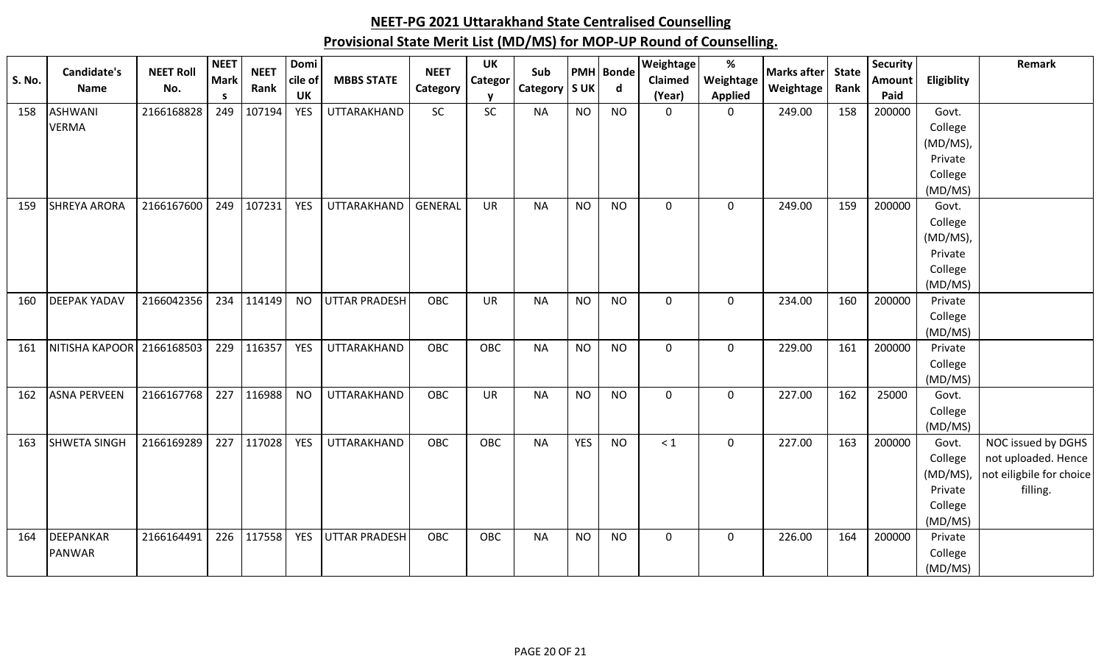| <b>S. No.</b> | Candidate's<br>Name | <b>NEET Roll</b><br>No. | <b>NEET</b><br><b>Mark</b> | <b>NEET</b><br>Rank | Domi<br>cile of | <b>MBBS STATE</b>    | <b>NEET</b><br>Category | <b>UK</b><br><b>Categor</b> | Sub<br>Category   S UK |            | <b>PMH</b> Bonde<br>$\mathsf{d}$ | Weightage<br>Claimed | $\%$<br>Weightage | <b>Marks after</b><br>Weightage | <b>State</b><br>Rank | <b>Security</b><br><b>Amount</b> | Eligiblity          | Remark                   |
|---------------|---------------------|-------------------------|----------------------------|---------------------|-----------------|----------------------|-------------------------|-----------------------------|------------------------|------------|----------------------------------|----------------------|-------------------|---------------------------------|----------------------|----------------------------------|---------------------|--------------------------|
|               |                     |                         | <b>S</b>                   |                     | <b>UK</b>       |                      |                         |                             |                        |            |                                  | (Year)               | <b>Applied</b>    |                                 |                      | Paid                             |                     |                          |
| 158           | <b>ASHWANI</b>      | 2166168828              | 249                        | 107194              | <b>YES</b>      | <b>UTTARAKHAND</b>   | SC                      | SC                          | <b>NA</b>              | <b>NO</b>  | <b>NO</b>                        | $\mathbf 0$          | $\mathbf 0$       | 249.00                          | 158                  | 200000                           | Govt.               |                          |
|               | <b>VERMA</b>        |                         |                            |                     |                 |                      |                         |                             |                        |            |                                  |                      |                   |                                 |                      |                                  | College             |                          |
|               |                     |                         |                            |                     |                 |                      |                         |                             |                        |            |                                  |                      |                   |                                 |                      |                                  | (MD/MS),<br>Private |                          |
|               |                     |                         |                            |                     |                 |                      |                         |                             |                        |            |                                  |                      |                   |                                 |                      |                                  | College             |                          |
|               |                     |                         |                            |                     |                 |                      |                         |                             |                        |            |                                  |                      |                   |                                 |                      |                                  | (MD/MS)             |                          |
| 159           | <b>SHREYA ARORA</b> | 2166167600              | 249                        | 107231              | <b>YES</b>      | UTTARAKHAND          | <b>GENERAL</b>          | <b>UR</b>                   | <b>NA</b>              | <b>NO</b>  | <b>NO</b>                        | $\mathbf 0$          | $\mathbf 0$       | 249.00                          | 159                  | 200000                           | Govt.               |                          |
|               |                     |                         |                            |                     |                 |                      |                         |                             |                        |            |                                  |                      |                   |                                 |                      |                                  | College             |                          |
|               |                     |                         |                            |                     |                 |                      |                         |                             |                        |            |                                  |                      |                   |                                 |                      |                                  | (MD/MS),            |                          |
|               |                     |                         |                            |                     |                 |                      |                         |                             |                        |            |                                  |                      |                   |                                 |                      |                                  | Private             |                          |
|               |                     |                         |                            |                     |                 |                      |                         |                             |                        |            |                                  |                      |                   |                                 |                      |                                  | College             |                          |
|               |                     |                         |                            |                     |                 |                      |                         |                             |                        |            |                                  |                      |                   |                                 |                      |                                  | (MD/MS)             |                          |
| 160           | <b>DEEPAK YADAV</b> | 2166042356              | 234                        | 114149              | <b>NO</b>       | <b>UTTAR PRADESH</b> | OBC                     | <b>UR</b>                   | <b>NA</b>              | <b>NO</b>  | <b>NO</b>                        | $\mathbf 0$          | $\mathbf 0$       | 234.00                          | 160                  | 200000                           | Private             |                          |
|               |                     |                         |                            |                     |                 |                      |                         |                             |                        |            |                                  |                      |                   |                                 |                      |                                  | College             |                          |
|               |                     |                         |                            |                     |                 |                      |                         |                             |                        |            |                                  |                      |                   |                                 |                      |                                  | (MD/MS)             |                          |
| 161           | NITISHA KAPOOR      | 2166168503              | 229                        | 116357              | <b>YES</b>      | UTTARAKHAND          | <b>OBC</b>              | OBC                         | <b>NA</b>              | <b>NO</b>  | <b>NO</b>                        | $\mathbf 0$          | $\overline{0}$    | 229.00                          | 161                  | 200000                           | Private             |                          |
|               |                     |                         |                            |                     |                 |                      |                         |                             |                        |            |                                  |                      |                   |                                 |                      |                                  | College             |                          |
|               | <b>ASNA PERVEEN</b> | 2166167768              | 227                        |                     |                 |                      | OBC                     | <b>UR</b>                   |                        | <b>NO</b>  | <b>NO</b>                        |                      |                   |                                 |                      | 25000                            | (MD/MS)             |                          |
| 162           |                     |                         |                            | 116988              | <b>NO</b>       | UTTARAKHAND          |                         |                             | <b>NA</b>              |            |                                  | $\mathbf 0$          | $\mathbf 0$       | 227.00                          | 162                  |                                  | Govt.<br>College    |                          |
|               |                     |                         |                            |                     |                 |                      |                         |                             |                        |            |                                  |                      |                   |                                 |                      |                                  | (MD/MS)             |                          |
| 163           | <b>SHWETA SINGH</b> | 2166169289              | 227                        | 117028              | <b>YES</b>      | UTTARAKHAND          | OBC                     | <b>OBC</b>                  | <b>NA</b>              | <b>YES</b> | <b>NO</b>                        | $\leq 1$             | $\mathbf 0$       | 227.00                          | 163                  | 200000                           | Govt.               | NOC issued by DGHS       |
|               |                     |                         |                            |                     |                 |                      |                         |                             |                        |            |                                  |                      |                   |                                 |                      |                                  | College             | not uploaded. Hence      |
|               |                     |                         |                            |                     |                 |                      |                         |                             |                        |            |                                  |                      |                   |                                 |                      |                                  | (MD/MS)             | not eiligbile for choice |
|               |                     |                         |                            |                     |                 |                      |                         |                             |                        |            |                                  |                      |                   |                                 |                      |                                  | Private             | filling.                 |
|               |                     |                         |                            |                     |                 |                      |                         |                             |                        |            |                                  |                      |                   |                                 |                      |                                  | College             |                          |
|               |                     |                         |                            |                     |                 |                      |                         |                             |                        |            |                                  |                      |                   |                                 |                      |                                  | (MD/MS)             |                          |
| 164           | DEEPANKAR           | 2166164491              | 226                        | 117558              | <b>YES</b>      | <b>UTTAR PRADESH</b> | OBC                     | <b>OBC</b>                  | <b>NA</b>              | <b>NO</b>  | <b>NO</b>                        | $\mathbf 0$          | $\mathbf 0$       | 226.00                          | 164                  | 200000                           | Private             |                          |
|               | PANWAR              |                         |                            |                     |                 |                      |                         |                             |                        |            |                                  |                      |                   |                                 |                      |                                  | College             |                          |
|               |                     |                         |                            |                     |                 |                      |                         |                             |                        |            |                                  |                      |                   |                                 |                      |                                  | (MD/MS)             |                          |